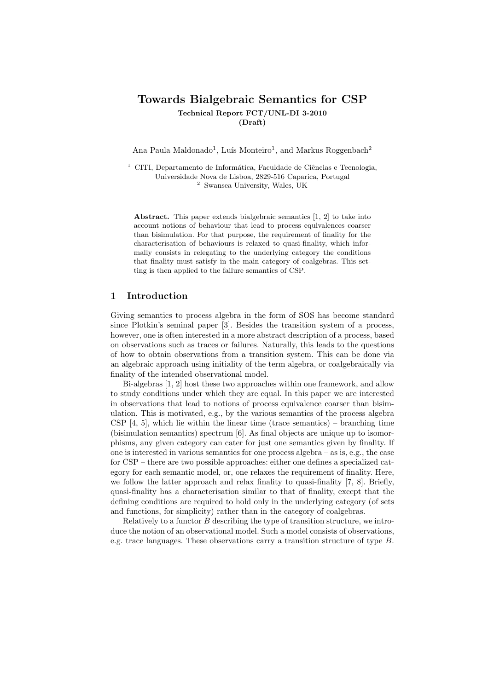# Towards Bialgebraic Semantics for CSP Technical Report FCT/UNL-DI 3-2010 (Draft)

Ana Paula Maldonado<sup>1</sup>, Luís Monteiro<sup>1</sup>, and Markus Roggenbach<sup>2</sup>

 $1$  CITI, Departamento de Informática, Faculdade de Ciências e Tecnologia, Universidade Nova de Lisboa, 2829-516 Caparica, Portugal <sup>2</sup> Swansea University, Wales, UK

Abstract. This paper extends bialgebraic semantics [1, 2] to take into account notions of behaviour that lead to process equivalences coarser than bisimulation. For that purpose, the requirement of finality for the characterisation of behaviours is relaxed to quasi-finality, which informally consists in relegating to the underlying category the conditions that finality must satisfy in the main category of coalgebras. This setting is then applied to the failure semantics of CSP.

## 1 Introduction

Giving semantics to process algebra in the form of SOS has become standard since Plotkin's seminal paper [3]. Besides the transition system of a process, however, one is often interested in a more abstract description of a process, based on observations such as traces or failures. Naturally, this leads to the questions of how to obtain observations from a transition system. This can be done via an algebraic approach using initiality of the term algebra, or coalgebraically via finality of the intended observational model.

Bi-algebras [1, 2] host these two approaches within one framework, and allow to study conditions under which they are equal. In this paper we are interested in observations that lead to notions of process equivalence coarser than bisimulation. This is motivated, e.g., by the various semantics of the process algebra CSP  $[4, 5]$ , which lie within the linear time (trace semantics) – branching time (bisimulation semantics) spectrum [6]. As final objects are unique up to isomorphisms, any given category can cater for just one semantics given by finality. If one is interested in various semantics for one process algebra – as is, e.g., the case for CSP – there are two possible approaches: either one defines a specialized category for each semantic model, or, one relaxes the requirement of finality. Here, we follow the latter approach and relax finality to quasi-finality [7, 8]. Briefly, quasi-finality has a characterisation similar to that of finality, except that the defining conditions are required to hold only in the underlying category (of sets and functions, for simplicity) rather than in the category of coalgebras.

Relatively to a functor B describing the type of transition structure, we introduce the notion of an observational model. Such a model consists of observations, e.g. trace languages. These observations carry a transition structure of type B.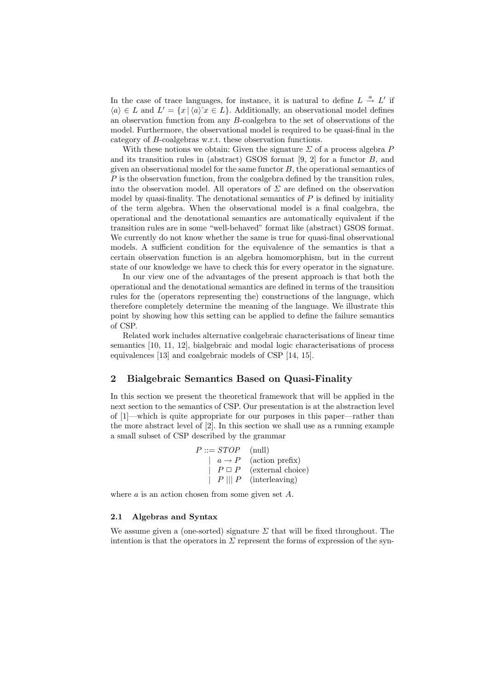In the case of trace languages, for instance, it is natural to define  $L \stackrel{a}{\rightarrow} L'$  if  $\langle a \rangle \in L$  and  $L' = \{x \mid \langle a \rangle \& \in L\}$ . Additionally, an observational model defines an observation function from any B-coalgebra to the set of observations of the model. Furthermore, the observational model is required to be quasi-final in the category of B-coalgebras w.r.t. these observation functions.

With these notions we obtain: Given the signature  $\Sigma$  of a process algebra P and its transition rules in (abstract) GSOS format [9, 2] for a functor B, and given an observational model for the same functor  $B$ , the operational semantics of  $P$  is the observation function, from the coalgebra defined by the transition rules, into the observation model. All operators of  $\Sigma$  are defined on the observation model by quasi-finality. The denotational semantics of  $P$  is defined by initiality of the term algebra. When the observational model is a final coalgebra, the operational and the denotational semantics are automatically equivalent if the transition rules are in some "well-behaved" format like (abstract) GSOS format. We currently do not know whether the same is true for quasi-final observational models. A sufficient condition for the equivalence of the semantics is that a certain observation function is an algebra homomorphism, but in the current state of our knowledge we have to check this for every operator in the signature.

In our view one of the advantages of the present approach is that both the operational and the denotational semantics are defined in terms of the transition rules for the (operators representing the) constructions of the language, which therefore completely determine the meaning of the language. We illustrate this point by showing how this setting can be applied to define the failure semantics of CSP.

Related work includes alternative coalgebraic characterisations of linear time semantics [10, 11, 12], bialgebraic and modal logic characterisations of process equivalences [13] and coalgebraic models of CSP [14, 15].

# 2 Bialgebraic Semantics Based on Quasi-Finality

In this section we present the theoretical framework that will be applied in the next section to the semantics of CSP. Our presentation is at the abstraction level of [1]—which is quite appropriate for our purposes in this paper—rather than the more abstract level of [2]. In this section we shall use as a running example a small subset of CSP described by the grammar

> $P ::= STOP$  (null)  $| a \rightarrow P \text{ (action prefix)}$  $\mid P \sqcup P \mid$  (external choice)  $|| P || || P$  (interleaving)

where  $a$  is an action chosen from some given set  $A$ .

#### 2.1 Algebras and Syntax

We assume given a (one-sorted) signature  $\Sigma$  that will be fixed throughout. The intention is that the operators in  $\Sigma$  represent the forms of expression of the syn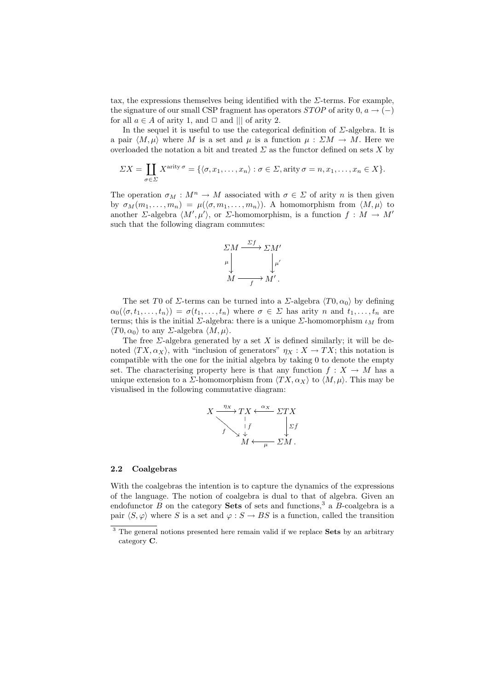tax, the expressions themselves being identified with the  $\Sigma$ -terms. For example, the signature of our small CSP fragment has operators  $STOP$  of arity 0,  $a \rightarrow (-)$ for all  $a \in A$  of arity 1, and  $\Box$  and  $|||$  of arity 2.

In the sequel it is useful to use the categorical definition of  $\Sigma$ -algebra. It is a pair  $\langle M, \mu \rangle$  where M is a set and  $\mu$  is a function  $\mu : \Sigma M \to M$ . Here we overloaded the notation a bit and treated  $\Sigma$  as the functor defined on sets X by

$$
\Sigma X = \coprod_{\sigma \in \Sigma} X^{\text{arity}\,\sigma} = \{ \langle \sigma, x_1, \dots, x_n \rangle : \sigma \in \Sigma, \text{arity}\,\sigma = n, x_1, \dots, x_n \in X \}.
$$

The operation  $\sigma_M : M^n \to M$  associated with  $\sigma \in \Sigma$  of arity n is then given by  $\sigma_M(m_1, \ldots, m_n) = \mu(\langle \sigma, m_1, \ldots, m_n \rangle)$ . A homomorphism from  $\langle M, \mu \rangle$  to another  $\Sigma$ -algebra  $\langle M', \mu' \rangle$ , or  $\Sigma$ -homomorphism, is a function  $f : M \to M'$ such that the following diagram commutes:



The set T0 of  $\Sigma$ -terms can be turned into a  $\Sigma$ -algebra  $\langle T0, \alpha_0 \rangle$  by defining  $\alpha_0(\langle \sigma, t_1, \ldots, t_n \rangle) = \sigma(t_1, \ldots, t_n)$  where  $\sigma \in \Sigma$  has arity n and  $t_1, \ldots, t_n$  are terms; this is the initial  $\Sigma$ -algebra: there is a unique  $\Sigma$ -homomorphism  $\iota_M$  from  $\langle T0, \alpha_0 \rangle$  to any *Σ*-algebra  $\langle M, \mu \rangle$ .

The free  $\Sigma$ -algebra generated by a set X is defined similarly; it will be denoted  $\langle TX, \alpha_X \rangle$ , with "inclusion of generators"  $\eta_X : X \to TX$ ; this notation is compatible with the one for the initial algebra by taking 0 to denote the empty set. The characterising property here is that any function  $f: X \to M$  has a unique extension to a *Σ*-homomorphism from  $\langle TX, \alpha_X \rangle$  to  $\langle M, \mu \rangle$ . This may be visualised in the following commutative diagram:

$$
X \xrightarrow{ \eta_X} TX \xleftarrow{ \alpha_X} \Sigma TX
$$
  
\n
$$
\downarrow f
$$
  
\n
$$
\downarrow f
$$
  
\n
$$
M \xleftarrow{\mu} \Sigma M.
$$

#### 2.2 Coalgebras

With the coalgebras the intention is to capture the dynamics of the expressions of the language. The notion of coalgebra is dual to that of algebra. Given an endofunctor  $B$  on the category **Sets** of sets and functions,<sup>3</sup> a  $B$ -coalgebra is a pair  $\langle S, \varphi \rangle$  where S is a set and  $\varphi : S \to BS$  is a function, called the transition

<sup>&</sup>lt;sup>3</sup> The general notions presented here remain valid if we replace **Sets** by an arbitrary category C.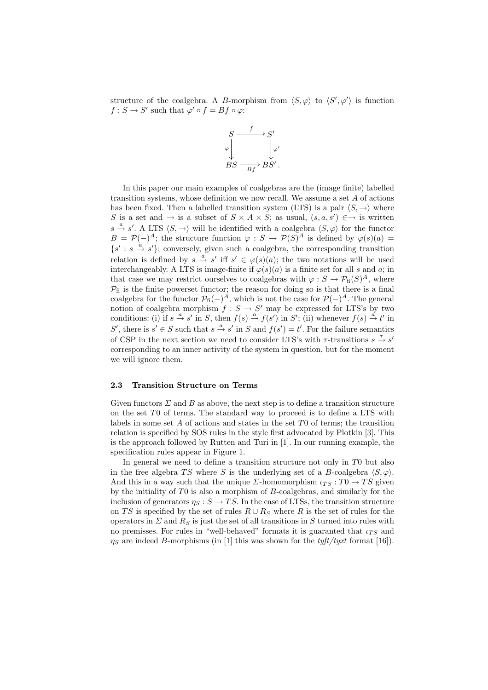structure of the coalgebra. A B-morphism from  $\langle S, \varphi \rangle$  to  $\langle S', \varphi' \rangle$  is function  $f: S \to S'$  such that  $\varphi' \circ f = Bf \circ \varphi$ :



In this paper our main examples of coalgebras are the (image finite) labelled transition systems, whose definition we now recall. We assume a set A of actions has been fixed. Then a labelled transition system (LTS) is a pair  $\langle S, \rightarrow \rangle$  where S is a set and  $\rightarrow$  is a subset of  $S \times A \times S$ ; as usual,  $(s, a, s') \in \rightarrow$  is written  $s \stackrel{a}{\rightarrow} s'$ . A LTS  $\langle S, \rightarrow \rangle$  will be identified with a coalgebra  $\langle S, \varphi \rangle$  for the functor  $B = \mathcal{P}(-)^A$ ; the structure function  $\varphi : S \to \mathcal{P}(S)^A$  is defined by  $\varphi(s)(a) =$  $\{s' : s \stackrel{a}{\rightarrow} s'\};$  conversely, given such a coalgebra, the corresponding transition relation is defined by  $s \stackrel{a}{\rightarrow} s'$  iff  $s' \in \varphi(s)(a)$ ; the two notations will be used interchangeably. A LTS is image-finite if  $\varphi(s)(a)$  is a finite set for all s and a; in that case we may restrict ourselves to coalgebras with  $\varphi : S \to \mathcal{P}_{\text{fi}}(S)^A$ , where  $P_{\rm fi}$  is the finite powerset functor; the reason for doing so is that there is a final coalgebra for the functor  $\mathcal{P}_{\text{fi}}(-)^A$ , which is not the case for  $\mathcal{P}(-)^A$ . The general notion of coalgebra morphism  $f : S \to S'$  may be expressed for LTS's by two conditions: (i) if  $s \stackrel{a}{\to} s'$  in S, then  $f(s) \stackrel{a}{\to} f(s')$  in S'; (ii) whenever  $f(s) \stackrel{a'}{\to} t'$  in S', there is  $s' \in S$  such that  $s \stackrel{a}{\rightarrow} s'$  in S and  $f(s') = t'$ . For the failure semantics of CSP in the next section we need to consider LTS's with  $\tau$ -transitions  $s \stackrel{\tau}{\rightarrow} s'$ corresponding to an inner activity of the system in question, but for the moment we will ignore them.

#### 2.3 Transition Structure on Terms

Given functors  $\Sigma$  and B as above, the next step is to define a transition structure on the set T0 of terms. The standard way to proceed is to define a LTS with labels in some set  $A$  of actions and states in the set  $T_0$  of terms; the transition relation is specified by SOS rules in the style first advocated by Plotkin [3]. This is the approach followed by Rutten and Turi in [1]. In our running example, the specification rules appear in Figure 1.

In general we need to define a transition structure not only in T0 but also in the free algebra TS where S is the underlying set of a B-coalgebra  $\langle S, \varphi \rangle$ . And this in a way such that the unique  $\Sigma$ -homomorphism  $\iota_{TS} : T0 \to TS$  given by the initiality of T0 is also a morphism of B-coalgebras, and similarly for the inclusion of generators  $\eta_S : S \to TS$ . In the case of LTSs, the transition structure on TS is specified by the set of rules  $R \cup R_S$  where R is the set of rules for the operators in  $\Sigma$  and  $R_S$  is just the set of all transitions in S turned into rules with no premisses. For rules in "well-behaved" formats it is guaranted that  $\iota_{TS}$  and  $\eta_S$  are indeed B-morphisms (in [1] this was shown for the tyft/tyxt format [16]).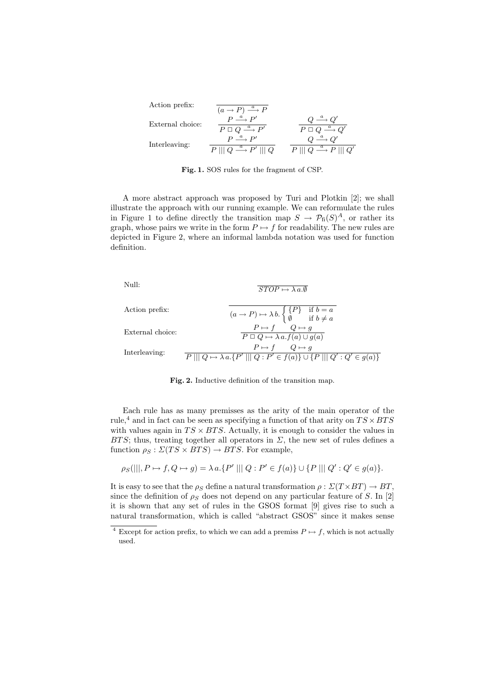| Action prefix:   | $(a \rightarrow P) \stackrel{a}{\longrightarrow} \overline{P}$                                                               |                                                                                  |
|------------------|------------------------------------------------------------------------------------------------------------------------------|----------------------------------------------------------------------------------|
| External choice: | $P \stackrel{a}{\longrightarrow} P'$<br>$P \square Q \stackrel{a}{\longrightarrow} P'$                                       | $P \square Q$                                                                    |
| Interleaving:    | $P \stackrel{a}{\longrightarrow} P'$<br>$P \parallel \!\parallel Q \stackrel{a}{\longrightarrow} P' \parallel \!\parallel Q$ | $P \parallel \parallel Q \stackrel{a}{\longrightarrow} P \parallel \parallel Q'$ |

Fig. 1. SOS rules for the fragment of CSP.

A more abstract approach was proposed by Turi and Plotkin [2]; we shall illustrate the approach with our running example. We can reformulate the rules in Figure 1 to define directly the transition map  $S \to \mathcal{P}_{\text{fi}}(S)^A$ , or rather its graph, whose pairs we write in the form  $P \mapsto f$  for readability. The new rules are depicted in Figure 2, where an informal lambda notation was used for function definition.



Fig. 2. Inductive definition of the transition map.

Each rule has as many premisses as the arity of the main operator of the rule,<sup>4</sup> and in fact can be seen as specifying a function of that arity on  $TS \times BTS$ with values again in  $TS \times BTS$ . Actually, it is enough to consider the values in BTS; thus, treating together all operators in  $\Sigma$ , the new set of rules defines a function  $\rho_S : \Sigma(TS \times BTS) \rightarrow BTS$ . For example,

$$
\rho_S(|||, P \mapsto f, Q \mapsto g) = \lambda a.\{P' ||| Q : P' \in f(a)\} \cup \{P ||| Q' : Q' \in g(a)\}.
$$

It is easy to see that the  $\rho_S$  define a natural transformation  $\rho : \Sigma(T \times BT) \to BT$ , since the definition of  $\rho_S$  does not depend on any particular feature of S. In [2] it is shown that any set of rules in the GSOS format [9] gives rise to such a natural transformation, which is called "abstract GSOS" since it makes sense

<sup>&</sup>lt;sup>4</sup> Except for action prefix, to which we can add a premiss  $P \mapsto f$ , which is not actually used.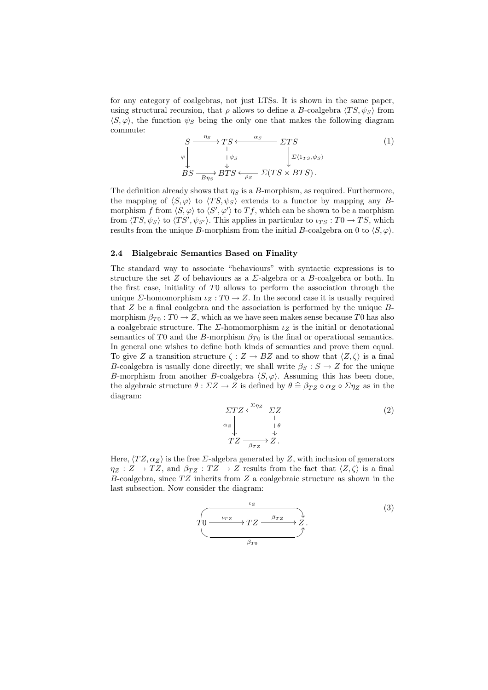for any category of coalgebras, not just LTSs. It is shown in the same paper, using structural recursion, that  $\rho$  allows to define a B-coalgebra  $\langle TS, \psi_S \rangle$  from  $\langle S, \varphi \rangle$ , the function  $\psi_S$  being the only one that makes the following diagram commute:

$$
S \xrightarrow{\eta_S} TS \xleftarrow{\alpha_S} \Sigma TS
$$
  
\n
$$
\downarrow \qquad \qquad \downarrow \qquad \qquad \downarrow \qquad \qquad \downarrow \qquad \downarrow \qquad \downarrow \qquad \downarrow \qquad \downarrow \qquad \downarrow \qquad \downarrow \qquad \downarrow \qquad \downarrow \qquad \downarrow \qquad \downarrow \qquad \downarrow \qquad \downarrow \qquad \downarrow \qquad \downarrow \qquad \downarrow \qquad \downarrow \qquad \downarrow \qquad \downarrow \qquad \downarrow \qquad \downarrow \qquad \downarrow \qquad \downarrow \qquad \downarrow \qquad \downarrow \qquad \downarrow \qquad \downarrow \qquad \downarrow \qquad \downarrow \qquad \downarrow \qquad \downarrow \qquad \downarrow \qquad \downarrow \qquad \downarrow \qquad \downarrow \qquad \downarrow \qquad \downarrow \qquad \downarrow \qquad \downarrow \qquad \downarrow \qquad \downarrow \qquad \downarrow \qquad \downarrow \qquad \downarrow \qquad \downarrow \qquad \downarrow \qquad \downarrow \qquad \downarrow \qquad \downarrow \qquad \downarrow \qquad \downarrow \qquad \downarrow \qquad \downarrow \qquad \downarrow \qquad \downarrow \qquad \downarrow \qquad \downarrow \qquad \downarrow \qquad \downarrow \qquad \downarrow \qquad \downarrow \qquad \downarrow \qquad \downarrow \qquad \downarrow \qquad \downarrow \qquad \downarrow \qquad \downarrow \qquad \downarrow \qquad \downarrow \qquad \downarrow \qquad \downarrow \qquad \downarrow \qquad \downarrow \qquad \downarrow \qquad \downarrow \qquad \downarrow \qquad \downarrow \qquad \downarrow \qquad \downarrow \qquad \downarrow \qquad \downarrow \qquad \downarrow \qquad \downarrow \qquad \downarrow \qquad \downarrow \qquad \downarrow \qquad \downarrow \qquad \downarrow \qquad \downarrow \qquad \downarrow \qquad \downarrow \qquad \downarrow \qquad \downarrow \qquad \downarrow \qquad \downarrow \qquad \downarrow \qquad \downarrow \qquad \downarrow \qquad \downarrow \qquad \downarrow \qquad \downarrow \qquad \downarrow \qquad \downarrow \qquad \downarrow \qquad \downarrow \qquad \downarrow \qquad \downarrow \qquad \downarrow \qquad \downarrow \qquad \downarrow \qquad \downarrow \qquad \downarrow \qquad \downarrow \qquad \downarrow \qquad \downarrow \qquad \downarrow \qquad \downarrow \q
$$

The definition already shows that  $\eta_s$  is a B-morphism, as required. Furthermore, the mapping of  $\langle S, \varphi \rangle$  to  $\langle TS, \psi_S \rangle$  extends to a functor by mapping any Bmorphism f from  $\langle S, \varphi \rangle$  to  $\langle S', \varphi' \rangle$  to  $Tf$ , which can be shown to be a morphism from  $\langle TS, \psi_S \rangle$  to  $\langle TS', \psi_{S'} \rangle$ . This applies in particular to  $\iota_{TS} : T0 \to TS$ , which results from the unique B-morphism from the initial B-coalgebra on 0 to  $\langle S, \varphi \rangle$ .

#### 2.4 Bialgebraic Semantics Based on Finality

The standard way to associate "behaviours" with syntactic expressions is to structure the set Z of behaviours as a  $\Sigma$ -algebra or a B-coalgebra or both. In the first case, initiality of T0 allows to perform the association through the unique *Σ*-homomorphism  $\iota_Z : T0 \to Z$ . In the second case it is usually required that  $Z$  be a final coalgebra and the association is performed by the unique  $B$ morphism  $\beta_{T0}: T0 \to Z$ , which as we have seen makes sense because T0 has also a coalgebraic structure. The  $\Sigma$ -homomorphism  $\iota_Z$  is the initial or denotational semantics of T0 and the B-morphism  $\beta_{T0}$  is the final or operational semantics. In general one wishes to define both kinds of semantics and prove them equal. To give Z a transition structure  $\zeta : Z \to BZ$  and to show that  $\langle Z, \zeta \rangle$  is a final B-coalgebra is usually done directly; we shall write  $\beta_S : S \to Z$  for the unique B-morphism from another B-coalgebra  $\langle S, \varphi \rangle$ . Assuming this has been done, the algebraic structure  $\theta : \Sigma Z \to Z$  is defined by  $\theta \hat{=} \beta_{TZ} \circ \alpha_Z \circ \Sigma \eta_Z$  as in the diagram:

$$
\Sigma T Z \xleftarrow{\Sigma \eta_Z} \Sigma Z
$$
\n
$$
\alpha_Z \downarrow \qquad \qquad \downarrow \qquad \qquad (2)
$$
\n
$$
T Z \xrightarrow{\beta_{TZ}} Z.
$$

Here,  $\langle TZ, \alpha_Z \rangle$  is the free  $\Sigma$ -algebra generated by Z, with inclusion of generators  $\eta_Z : Z \to TZ$ , and  $\beta_{TZ} : TZ \to Z$  results from the fact that  $\langle Z, \zeta \rangle$  is a final B-coalgebra, since  $TZ$  inherits from  $Z$  a coalgebraic structure as shown in the last subsection. Now consider the diagram:

$$
T0 \xrightarrow{\iota_{TZ}} TZ \xrightarrow{\beta_{TZ}} Z \xrightarrow{\beta_{TZ}} X.
$$
\n
$$
\xrightarrow{\beta_{T0}} (3)
$$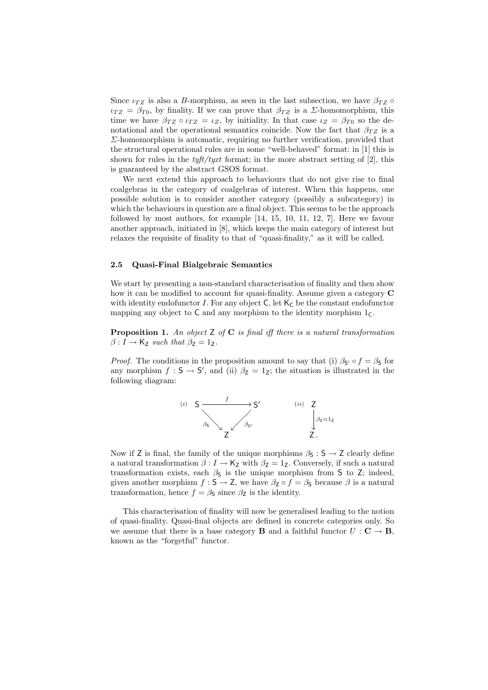Since  $\iota_{TZ}$  is also a B-morphism, as seen in the last subsection, we have  $\beta_{TZ} \circ$  $\iota_{TZ} = \beta_{T0}$ , by finality. If we can prove that  $\beta_{TZ}$  is a *Σ*-homomorphism, this time we have  $\beta_{TZ} \circ \iota_{TZ} = \iota_Z$ , by initiality. In that case  $\iota_Z = \beta_{T0}$  so the denotational and the operational semantics coincide. Now the fact that  $\beta_{TZ}$  is a  $\Sigma$ -homomorphism is automatic, requiring no further verification, provided that the structural operational rules are in some "well-behaved" format: in [1] this is shown for rules in the  $tyft/tyxt$  format; in the more abstract setting of [2], this is guaranteed by the abstract GSOS format.

We next extend this approach to behaviours that do not give rise to final coalgebras in the category of coalgebras of interest. When this happens, one possible solution is to consider another category (possibly a subcategory) in which the behaviours in question are a final object. This seems to be the approach followed by most authors, for example [14, 15, 10, 11, 12, 7]. Here we favour another approach, initiated in [8], which keeps the main category of interest but relaxes the requisite of finality to that of "quasi-finality," as it will be called.

## 2.5 Quasi-Final Bialgebraic Semantics

We start by presenting a non-standard characterisation of finality and then show how it can be modified to account for quasi-finality. Assume given a category C with identity endofunctor I. For any object  $C$ , let  $K_C$  be the constant endofunctor mapping any object to  $C$  and any morphism to the identity morphism  $1<sub>C</sub>$ .

**Proposition 1.** An object  $Z$  of  $C$  is final iff there is a natural transformation  $\beta: I \to \mathsf{K}_{\mathsf{Z}}$  such that  $\beta_{\mathsf{Z}} = 1_{\mathsf{Z}}$ .

*Proof.* The conditions in the proposition amount to say that (i)  $\beta_{S'} \circ f = \beta_S$  for any morphism  $f : S \to S'$ , and (ii)  $\beta_Z = 1_Z$ ; the situation is illustrated in the following diagram:



Now if Z is final, the family of the unique morphisms  $\beta_S : S \to Z$  clearly define a natural transformation  $\beta : I \to \mathsf{K}_{\mathsf{Z}}$  with  $\beta_{\mathsf{Z}} = 1_{\mathsf{Z}}$ . Conversely, if such a natural transformation exists, each  $\beta$ s is the unique morphism from S to Z; indeed, given another morphism  $f : S \to Z$ , we have  $\beta_Z \circ f = \beta_S$  because  $\beta$  is a natural transformation, hence  $f = \beta_s$  since  $\beta_z$  is the identity.

This characterisation of finality will now be generalised leading to the notion of quasi-finality. Quasi-final objects are defined in concrete categories only. So we assume that there is a base category **B** and a faithful functor  $U : \mathbf{C} \to \mathbf{B}$ , known as the "forgetful" functor.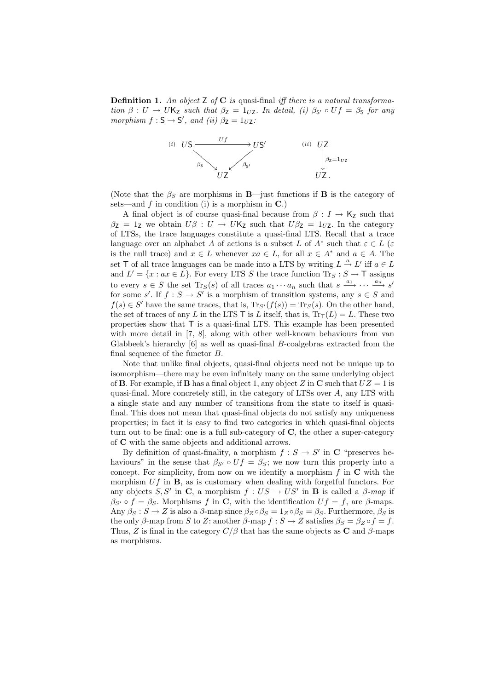**Definition 1.** An object  $Z$  of  $C$  is quasi-final iff there is a natural transformation  $\beta: U \to UK_Z$  such that  $\beta_Z = 1_{UZ}$ . In detail, (i)  $\beta_{S'} \circ Uf = \beta_S$  for any morphism  $f : S \to S'$ , and (ii)  $\beta_Z = 1_{UZ}$ :



(Note that the  $\beta_S$  are morphisms in **B**—just functions if **B** is the category of sets—and  $f$  in condition (i) is a morphism in  $\mathbf{C}$ .)

A final object is of course quasi-final because from  $\beta : I \to \mathsf{K}_Z$  such that  $\beta$ <sub>Z</sub> = 1<sub>Z</sub> we obtain  $U\beta : U \rightarrow UK$ <sub>Z</sub> such that  $U\beta$ <sub>Z</sub> = 1<sub>UZ</sub>. In the category of LTSs, the trace languages constitute a quasi-final LTS. Recall that a trace language over an alphabet A of actions is a subset L of  $A^*$  such that  $\varepsilon \in L$  ( $\varepsilon$ is the null trace) and  $x \in L$  whenever  $xa \in L$ , for all  $x \in A^*$  and  $a \in A$ . The set T of all trace languages can be made into a LTS by writing  $L \stackrel{a}{\rightarrow} L'$  iff  $a \in L$ and  $L' = \{x : ax \in L\}$ . For every LTS S the trace function  $\text{Tr}_S : S \to \mathsf{T}$  assigns to every  $s \in S$  the set  $\text{Tr}_S(s)$  of all traces  $a_1 \cdots a_n$  such that  $s \xrightarrow{a_1} \cdots \xrightarrow{a_n} s'$ for some s'. If  $f : S \to S'$  is a morphism of transition systems, any  $s \in S$  and  $f(s) \in S'$  have the same traces, that is,  $\text{Tr}_{S'}(f(s)) = \text{Tr}_{S}(s)$ . On the other hand, the set of traces of any L in the LTS T is L itself, that is,  $Tr_{\text{T}}(L) = L$ . These two properties show that T is a quasi-final LTS. This example has been presented with more detail in [7, 8], along with other well-known behaviours from van Glabbeek's hierarchy [6] as well as quasi-final B-coalgebras extracted from the final sequence of the functor B.

Note that unlike final objects, quasi-final objects need not be unique up to isomorphism—there may be even infinitely many on the same underlying object of **B**. For example, if **B** has a final object 1, any object Z in **C** such that  $UZ = 1$  is quasi-final. More concretely still, in the category of LTSs over A, any LTS with a single state and any number of transitions from the state to itself is quasifinal. This does not mean that quasi-final objects do not satisfy any uniqueness properties; in fact it is easy to find two categories in which quasi-final objects turn out to be final: one is a full sub-category of  $C$ , the other a super-category of C with the same objects and additional arrows.

By definition of quasi-finality, a morphism  $f : S \to S'$  in C "preserves behaviours" in the sense that  $\beta_{S'} \circ Uf = \beta_S$ ; we now turn this property into a concept. For simplicity, from now on we identify a morphism  $f$  in  $C$  with the morphism  $Uf$  in  $\bf{B}$ , as is customary when dealing with forgetful functors. For any objects S, S' in C, a morphism  $f : US \to US'$  in B is called a  $\beta$ -map if  $\beta_{S'} \circ f = \beta_S$ . Morphisms f in C, with the identification  $Uf = f$ , are  $\beta$ -maps. Any  $\beta_S : S \to Z$  is also a  $\beta$ -map since  $\beta_Z \circ \beta_S = 1_Z \circ \beta_S = \beta_S$ . Furthermore,  $\beta_S$  is the only β-map from S to Z: another β-map  $f : S \to Z$  satisfies  $\beta_S = \beta_Z \circ f = f$ . Thus, Z is final in the category  $C/\beta$  that has the same objects as C and  $\beta$ -maps as morphisms.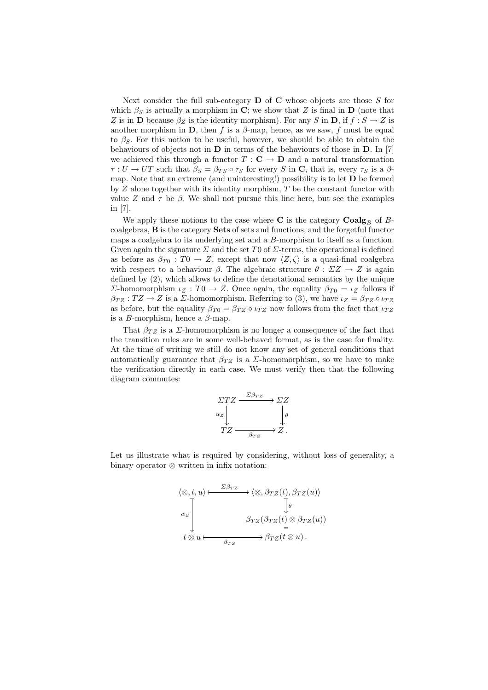Next consider the full sub-category  $\bf{D}$  of  $\bf{C}$  whose objects are those S for which  $\beta_S$  is actually a morphism in C; we show that Z is final in D (note that Z is in **D** because  $\beta_Z$  is the identity morphism). For any S in **D**, if  $f : S \to Z$  is another morphism in **D**, then f is a  $\beta$ -map, hence, as we saw, f must be equal to  $\beta_{\mathcal{S}}$ . For this notion to be useful, however, we should be able to obtain the behaviours of objects not in  **in terms of the behaviours of those in**  $**D**$ **. In [7]** we achieved this through a functor  $T : \mathbf{C} \to \mathbf{D}$  and a natural transformation  $\tau : U \to UT$  such that  $\beta_S = \beta_{TS} \circ \tau_S$  for every S in C, that is, every  $\tau_S$  is a  $\beta$ map. Note that an extreme (and uninteresting!) possibility is to let  **be formed** by  $Z$  alone together with its identity morphism,  $T$  be the constant functor with value Z and  $\tau$  be  $\beta$ . We shall not pursue this line here, but see the examples in [7].

We apply these notions to the case where C is the category  $Coalg_B$  of Bcoalgebras, B is the category Sets of sets and functions, and the forgetful functor maps a coalgebra to its underlying set and a B-morphism to itself as a function. Given again the signature  $\Sigma$  and the set T0 of  $\Sigma$ -terms, the operational is defined as before as  $\beta_{T0} : T0 \to Z$ , except that now  $\langle Z, \zeta \rangle$  is a quasi-final coalgebra with respect to a behaviour  $\beta$ . The algebraic structure  $\theta : \Sigma Z \to Z$  is again defined by (2), which allows to define the denotational semantics by the unique Σ-homomorphism  $ι_Z : T0 → Z$ . Once again, the equality  $β_{T0} = ι_Z$  follows if  $\beta_{TZ} : TZ \to Z$  is a *Σ*-homomorphism. Referring to (3), we have  $\iota_Z = \beta_{TZ} \circ \iota_{TZ}$ as before, but the equality  $\beta_{T0} = \beta_{TZ} \circ \iota_{TZ}$  now follows from the fact that  $\iota_{TZ}$ is a B-morphism, hence a  $\beta$ -map.

That  $\beta_{TZ}$  is a *Σ*-homomorphism is no longer a consequence of the fact that the transition rules are in some well-behaved format, as is the case for finality. At the time of writing we still do not know any set of general conditions that automatically guarantee that  $\beta_{TZ}$  is a  $\Sigma$ -homomorphism, so we have to make the verification directly in each case. We must verify then that the following diagram commutes:



Let us illustrate what is required by considering, without loss of generality, a binary operator ⊗ written in infix notation:

$$
\langle \otimes, t, u \rangle \longmapsto \frac{\Sigma \beta_{TZ}}{\lambda_{Z}} \longrightarrow \langle \otimes, \beta_{TZ}(t), \beta_{TZ}(u) \rangle
$$
  
\n
$$
\alpha_{Z} \downarrow \qquad \beta_{TZ}(\beta_{TZ}(t) \otimes \beta_{TZ}(u))
$$
  
\n
$$
t \otimes u \longmapsto \beta_{TZ}(\overline{t} \otimes u).
$$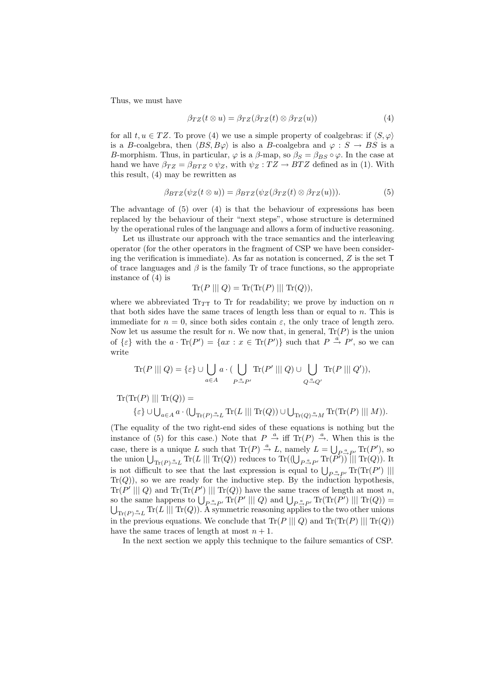Thus, we must have

$$
\beta_{TZ}(t \otimes u) = \beta_{TZ}(\beta_{TZ}(t) \otimes \beta_{TZ}(u)) \tag{4}
$$

for all  $t, u \in TZ$ . To prove (4) we use a simple property of coalgebras: if  $\langle S, \varphi \rangle$ is a B-coalgebra, then  $\langle BS, B\varphi \rangle$  is also a B-coalgebra and  $\varphi : S \to BS$  is a B-morphism. Thus, in particular,  $\varphi$  is a  $\beta$ -map, so  $\beta_S = \beta_{BS} \circ \varphi$ . In the case at hand we have  $\beta_{TZ} = \beta_{BTZ} \circ \psi_Z$ , with  $\psi_Z : TZ \to BTZ$  defined as in (1). With this result, (4) may be rewritten as

$$
\beta_{BTZ}(\psi_Z(t \otimes u)) = \beta_{BTZ}(\psi_Z(\beta_{TZ}(t) \otimes \beta_{TZ}(u))). \tag{5}
$$

The advantage of (5) over (4) is that the behaviour of expressions has been replaced by the behaviour of their "next steps", whose structure is determined by the operational rules of the language and allows a form of inductive reasoning.

Let us illustrate our approach with the trace semantics and the interleaving operator (for the other operators in the fragment of CSP we have been considering the verification is immediate). As far as notation is concerned,  $Z$  is the set  $T$ of trace languages and  $\beta$  is the family Tr of trace functions, so the appropriate instance of (4) is

$$
Tr(P \ || | Q) = Tr(Tr(P) || | Tr(Q)),
$$

where we abbreviated  $Tr_{TT}$  to Tr for readability; we prove by induction on n that both sides have the same traces of length less than or equal to  $n$ . This is immediate for  $n = 0$ , since both sides contain  $\varepsilon$ , the only trace of length zero. Now let us assume the result for n. We now that, in general,  $\text{Tr}(P)$  is the union of  $\{\varepsilon\}$  with the  $a \cdot \text{Tr}(P') = \{ax : x \in \text{Tr}(P')\}$  such that  $P \stackrel{a}{\rightarrow} P'$ , so we can write

$$
\mathrm{Tr}(P \mid || Q) = \{\varepsilon\} \cup \bigcup_{a \in A} a \cdot (\bigcup_{P \stackrel{a}{\rightarrow} P'} \mathrm{Tr}(P' \mid || Q) \cup \bigcup_{Q \stackrel{a}{\rightarrow} Q'} \mathrm{Tr}(P \mid || Q')),
$$

 $\mathrm{Tr}(\mathrm{Tr}(P) || \mathrm{Tr}(Q)) =$  $\{\varepsilon\} \cup \bigcup_{a \in A} a \cdot (\bigcup$  $\text{Tr}(P) \overset{a}{\rightarrow} L \text{ Tr}(L \mid || \text{ Tr}(Q)) \cup \bigcup$  $\text{Tr}(Q) \overset{a}{\rightarrow} M \text{Tr}(\text{Tr}(P) || || M)).$ 

(The equality of the two right-end sides of these equations is nothing but the instance of (5) for this case.) Note that  $P \stackrel{a}{\rightarrow}$  iff  $\text{Tr}(P) \stackrel{a}{\rightarrow}$ . When this is the case, there is a unique L such that  $\text{Tr}(P) \stackrel{a}{\rightarrow} L$ , namely  $L = \bigcup_{P \stackrel{a}{\rightarrow} P'} \text{Tr}(P')$ , so case, there is a unique L such that  $\text{Tr}(P) \to L$ , haloney  $L = \bigcup_{P \triangleq P'} \text{Tr}(P)$ , so<br>the union  $\bigcup_{\text{Tr}(P) \triangleq L} \text{Tr}(L \mid || \text{Tr}(Q))$  reduces to  $\text{Tr}((\bigcup_{P \triangleq P'} \text{Tr}(P')) \mid || \text{Tr}(Q))$ . It is not difficult to see that the last expression is equal to  $\bigcup_{P \triangleq P'}$  Tr(Tr(P') |||<br>is not difficult to see that the last expression is equal to  $\bigcup_{P \triangleq P'}$  Tr(Tr(P') ||  $Tr(Q)$ , so we are ready for the inductive step. By the induction hypothesis,  $\text{Tr}(P' || | Q)$  and  $\text{Tr}(\text{Tr}(P') || | \text{Tr}(Q))$  have the same traces of length at most n,  $\text{Tr}(P || || Q)$  and  $\text{Tr}(\text{Tr}(P') || || \text{Tr}(Q))$  have the same traces of length at most *n*,<br>so the same happens to  $\bigcup_{P \xrightarrow{\alpha} P'} \text{Tr}(P' || || Q)$  and  $\bigcup_{P \xrightarrow{\alpha} P'} \text{Tr}(\text{Tr}(P') || || \text{Tr}(Q)) =$  $T_{Tr(P)} \overset{a}{\rightarrow} L \text{ Tr}(L \mid || \text{ Tr}(Q))$ . A symmetric reasoning applies to the two other unions in the previous equations. We conclude that  $\text{Tr}(P \mid || Q)$  and  $\text{Tr}(\text{Tr}(P) || || \text{Tr}(Q))$ have the same traces of length at most  $n + 1$ .

In the next section we apply this technique to the failure semantics of CSP.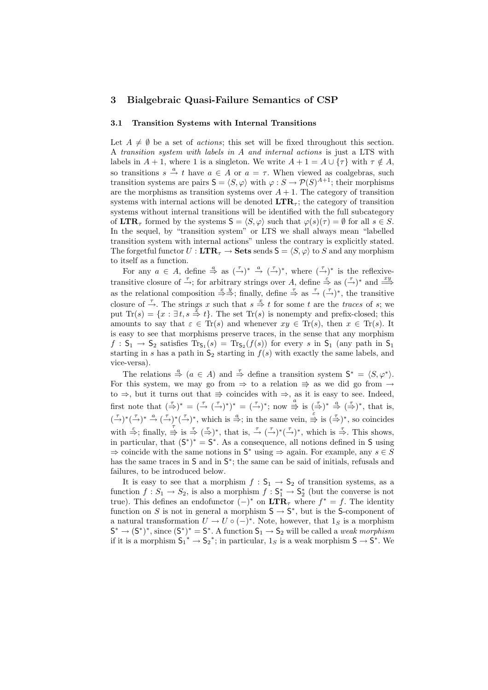# 3 Bialgebraic Quasi-Failure Semantics of CSP

#### 3.1 Transition Systems with Internal Transitions

Let  $A \neq \emptyset$  be a set of *actions*; this set will be fixed throughout this section. A transition system with labels in A and internal actions is just a LTS with labels in  $A + 1$ , where 1 is a singleton. We write  $A + 1 = A \cup {\tau}$  with  $\tau \notin A$ , so transitions  $s \stackrel{a}{\rightarrow} t$  have  $a \in A$  or  $a = \tau$ . When viewed as coalgebras, such transition systems are pairs  $S = \langle S, \varphi \rangle$  with  $\varphi : S \to \mathcal{P}(S)^{A+1}$ ; their morphisms are the morphisms as transition systems over  $A + 1$ . The category of transition systems with internal actions will be denoted  $\text{LTR}_\tau$ ; the category of transition systems without internal transitions will be identified with the full subcategory of  $\text{LTR}_{\tau}$  formed by the systems  $\mathsf{S} = \langle S, \varphi \rangle$  such that  $\varphi(s)(\tau) = \emptyset$  for all  $s \in S$ . In the sequel, by "transition system" or LTS we shall always mean "labelled transition system with internal actions" unless the contrary is explicitly stated. The forgetful functor  $U : \mathbf{LTR}_{\tau} \to \mathbf{Sets}$  sends  $\mathsf{S} = \langle S, \varphi \rangle$  to S and any morphism to itself as a function.

For any  $a \in A$ , define  $\stackrel{a}{\Rightarrow}$  as  $(\stackrel{\tau}{\rightarrow})^* \stackrel{a}{\rightarrow} (\stackrel{\tau}{\rightarrow})^*$ , where  $(\stackrel{\tau}{\rightarrow})^*$  is the reflexivetransitive closure of  $\frac{\tau}{\rightarrow}$ ; for arbitrary strings over A, define  $\stackrel{\varepsilon}{\Rightarrow}$  as  $(\stackrel{\tau}{\rightarrow})^*$  and  $\stackrel{xy}{\Longrightarrow}$ as the relational composition  $\stackrel{x}{\Rightarrow} \stackrel{y}{\Rightarrow}$ ; finally, define  $\stackrel{\tau}{\Rightarrow}$  as  $\stackrel{\tau}{\rightarrow}$  ( $\stackrel{\tau}{\rightarrow}$ )\*, the transitive closure of  $\frac{\tau}{\rightarrow}$ . The strings x such that  $s \stackrel{x}{\Rightarrow} t$  for some t are the traces of s; we put  $\text{Tr}(s) = \{x : \exists t, s \stackrel{x}{\Rightarrow} t\}.$  The set  $\text{Tr}(s)$  is nonempty and prefix-closed; this amounts to say that  $\varepsilon \in \text{Tr}(s)$  and whenever  $xy \in \text{Tr}(s)$ , then  $x \in \text{Tr}(s)$ . It is easy to see that morphisms preserve traces, in the sense that any morphism  $f: \mathsf{S}_1 \to \mathsf{S}_2$  satisfies  $\text{Tr}_{\mathsf{S}_1}(s) = \text{Tr}_{\mathsf{S}_2}(f(s))$  for every s in  $\mathsf{S}_1$  (any path in  $\mathsf{S}_1$ starting in s has a path in  $S_2$  starting in  $f(s)$  with exactly the same labels, and vice-versa).

The relations  $\stackrel{a}{\Rightarrow}$   $(a \in A)$  and  $\stackrel{\tau}{\Rightarrow}$  define a transition system  $S^* = \langle S, \varphi^* \rangle$ . For this system, we may go from  $\Rightarrow$  to a relation  $\Rightarrow$  as we did go from  $\rightarrow$ to ⇒, but it turns out that  $\Rightarrow$  coincides with ⇒, as it is easy to see. Indeed, first note that  $(\stackrel{\tau}{\Rightarrow})^* = (\stackrel{\tau}{\to} (\stackrel{\tau}{\to})^*)^* = (\stackrel{\tau}{\to})^*$ ; now  $\stackrel{a}{\Rightarrow}$  is  $(\stackrel{\tau}{\Rightarrow})^* \stackrel{a}{\Rightarrow} (\stackrel{\tau}{\Rightarrow})^*$ , that is,  $(\bar{\rightarrow})^*(\bar{\rightarrow})^* \stackrel{a}{\rightarrow} (\bar{\rightarrow})^*(\bar{\rightarrow})^*$ , which is  $\stackrel{a}{\Rightarrow}$ ; in the same vein,  $\stackrel{\stackrel{\circ}{\Rightarrow}}{=}$  is  $(\bar{\rightarrow})^*$ , so coincides with  $\stackrel{\leq}{\Rightarrow}$ ; finally,  $\stackrel{\tau}{\Rightarrow}$  is  $\stackrel{\tau}{\Rightarrow}$   $(\stackrel{\tau}{\Rightarrow})^*$ , that is,  $\stackrel{\tau}{\rightarrow}$   $(\stackrel{\tau}{\rightarrow})^*$ , which is  $\stackrel{\tau}{\Rightarrow}$ . This shows, in particular, that  $(S^*)^* = S^*$ . As a consequence, all notions defined in S using  $\Rightarrow$  coincide with the same notions in  $S^*$  using  $\Rightarrow$  again. For example, any  $s \in S$ has the same traces in S and in  $S^*$ ; the same can be said of initials, refusals and failures, to be introduced below.

It is easy to see that a morphism  $f : S_1 \to S_2$  of transition systems, as a function  $f: S_1 \to S_2$ , is also a morphism  $f: \mathsf{S}_1^* \to \mathsf{S}_2^*$  (but the converse is not true). This defines an endofunctor  $(-)^*$  on  $\mathbf{LTR}_{\tau}$  where  $f^* = f$ . The identity function on S is not in general a morphism  $S \to S^*$ , but is the S-component of a natural transformation  $U \to U \circ (-)^*$ . Note, however, that  $1_S$  is a morphism  $S^* \to (S^*)^*$ , since  $(S^*)^* = S^*$ . A function  $S_1 \to S_2$  will be called a *weak morphism* if it is a morphism  $S_1^* \to S_2^*$ ; in particular,  $1_S$  is a weak morphism  $S \to S^*$ . We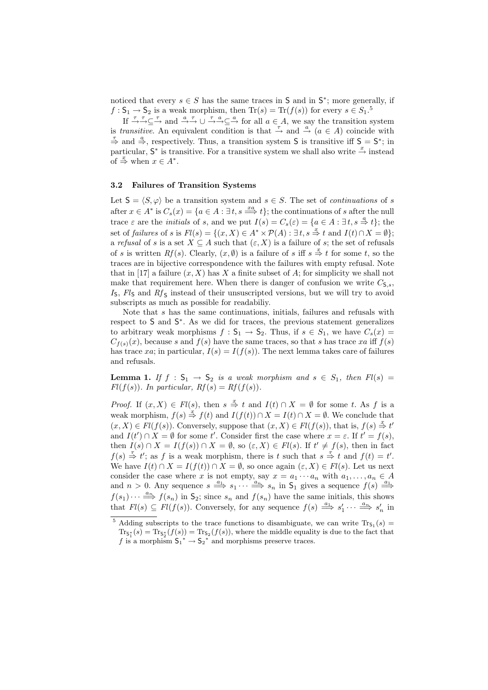noticed that every  $s \in S$  has the same traces in S and in  $S^*$ ; more generally, if  $f: \mathsf{S}_1 \to \mathsf{S}_2$  is a weak morphism, then  $\text{Tr}(s) = \text{Tr}(f(s))$  for every  $s \in S_1$ .<sup>5</sup>

If  $\overline{\to} \overline{\to} \subseteq \overline{\to}$  and  $\overline{\to} \overline{\to} \longrightarrow \overline{\subseteq} \xrightarrow{\tau} a \subseteq a$  for all  $a \in A$ , we say the transition system is transitive. An equivalent condition is that  $\stackrel{\tau}{\rightarrow}$  and  $\stackrel{a}{\rightarrow} (a \in A)$  coincide with  $\stackrel{\tau}{\Rightarrow}$  and  $\stackrel{a}{\Rightarrow}$ , respectively. Thus, a transition system **S** is transitive iff **S** = **S**<sup>\*</sup>; in particular,  $S^*$  is transitive. For a transitive system we shall also write  $\stackrel{x}{\rightarrow}$  instead of  $\stackrel{x}{\Rightarrow}$  when  $x \in A^*$ .

#### 3.2 Failures of Transition Systems

Let  $S = \langle S, \varphi \rangle$  be a transition system and  $s \in S$ . The set of *continuations* of s after  $x \in A^*$  is  $C_s(x) = \{a \in A : \exists t, s \stackrel{xa}{\Longrightarrow} t\}$ ; the continuations of s after the null trace  $\varepsilon$  are the *initials* of s, and we put  $I(s) = C_s(\varepsilon) = \{a \in A : \exists t, s \stackrel{a}{\Rightarrow} t\};$  the set of failures of s is  $Fl(s) = \{(x, X) \in A^* \times \mathcal{P}(A) : \exists t, s \stackrel{x}{\Rightarrow} t \text{ and } I(t) \cap X = \emptyset\};$ a refusal of s is a set  $X \subseteq A$  such that  $(\varepsilon, X)$  is a failure of s; the set of refusals of s is written  $Rf(s)$ . Clearly,  $(x, \emptyset)$  is a failure of s iff  $s \stackrel{x}{\Rightarrow} t$  for some t, so the traces are in bijective correspondence with the failures with empty refusal. Note that in [17] a failure  $(x, X)$  has X a finite subset of A; for simplicity we shall not make that requirement here. When there is danger of confusion we write  $C_{\mathsf{S},s}$ ,  $I<sub>S</sub>$ ,  $Fl<sub>S</sub>$  and  $Rf<sub>S</sub>$  instead of their unsuscripted versions, but we will try to avoid subscripts as much as possible for readabiliy.

Note that s has the same continuations, initials, failures and refusals with respect to S and S<sup>\*</sup>. As we did for traces, the previous statement generalizes to arbitrary weak morphisms  $f : \mathsf{S}_1 \to \mathsf{S}_2$ . Thus, if  $s \in S_1$ , we have  $C_s(x) =$  $C_{f(s)}(x)$ , because s and  $f(s)$  have the same traces, so that s has trace xa iff  $f(s)$ has trace xa; in particular,  $I(s) = I(f(s))$ . The next lemma takes care of failures and refusals.

**Lemma 1.** If  $f : S_1 \rightarrow S_2$  is a weak morphism and  $s \in S_1$ , then  $Fl(s) =$  $Fl(f(s))$ . In particular,  $Rf(s) = Rf(f(s))$ .

*Proof.* If  $(x, X) \in Fl(s)$ , then  $s \stackrel{x}{\Rightarrow} t$  and  $I(t) \cap X = \emptyset$  for some t. As f is a weak morphism,  $f(s) \stackrel{x}{\Rightarrow} f(t)$  and  $I(f(t)) \cap X = I(t) \cap X = \emptyset$ . We conclude that  $(x, X) \in Fl(f(s))$ . Conversely, suppose that  $(x, X) \in Fl(f(s))$ , that is,  $f(s) \stackrel{x}{\Rightarrow} t'$ and  $I(t') \cap X = \emptyset$  for some t'. Consider first the case where  $x = \varepsilon$ . If  $t' = f(s)$ , then  $I(s) \cap X = I(f(s)) \cap X = \emptyset$ , so  $(\varepsilon, X) \in Fl(s)$ . If  $t' \neq f(s)$ , then in fact  $f(s) \stackrel{\tau}{\Rightarrow} t'$ ; as f is a weak morphism, there is t such that  $s \stackrel{\tau}{\Rightarrow} t$  and  $f(t) = t'$ . We have  $I(t) \cap X = I(f(t)) \cap X = \emptyset$ , so once again  $(\varepsilon, X) \in Fl(s)$ . Let us next consider the case where x is not empty, say  $x = a_1 \cdots a_n$  with  $a_1, \ldots, a_n \in A$ and  $n > 0$ . Any sequence  $s \stackrel{a_1}{\Longrightarrow} s_1 \cdots \stackrel{a_n}{\Longrightarrow} s_n$  in  $S_1$  gives a sequence  $f(s) \stackrel{a_1}{\Longrightarrow}$  $f(s_1)\cdots \stackrel{a_n}{\Longrightarrow} f(s_n)$  in  $\mathsf{S}_2$ ; since  $s_n$  and  $f(s_n)$  have the same initials, this shows that  $Fl(s) \subseteq Fl(f(s))$ . Conversely, for any sequence  $f(s) \stackrel{a_1}{\Longrightarrow} s'_1 \cdots \stackrel{a_n}{\Longrightarrow} s'_n$  in

<sup>&</sup>lt;sup>5</sup> Adding subscripts to the trace functions to disambiguate, we can write  $Tr_{S_1}(s)$  =  $\text{Tr}_{\mathsf{S}_1^*}(s) = \text{Tr}_{\mathsf{S}_2}(f(s)) = \text{Tr}_{\mathsf{S}_2}(f(s))$ , where the middle equality is due to the fact that f is a morphism  $S_1^* \to S_2^*$  and morphisms preserve traces.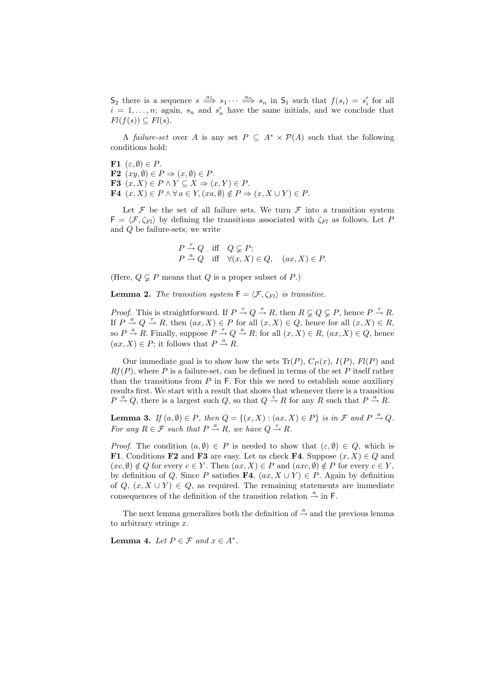$S_2$  there is a sequence  $s \stackrel{a_1}{\Longrightarrow} s_1 \cdots \stackrel{a_n}{\Longrightarrow} s_n$  in  $S_1$  such that  $f(s_i) = s'_i$  for all  $i = 1, \ldots, n$ ; again,  $s_n$  and  $s'_n$  have the same initials, and we conclude that  $Fl(f(s)) \subseteq Fl(s).$ 

A failure-set over A is any set  $P \subseteq A^* \times \mathcal{P}(A)$  such that the following conditions hold:

F1  $(\varepsilon, \emptyset) \in P$ . F2  $(xy, \emptyset) \in P \Rightarrow (x, \emptyset) \in P$ . F3  $(x, X) \in P \land Y \subseteq X \Rightarrow (x, Y) \in P$ . **F4**  $(x, X) \in P \land \forall a \in Y, (xa, \emptyset) \notin P \Rightarrow (x, X \cup Y) \in P.$ 

Let  $\mathcal F$  be the set of all failure sets. We turn  $\mathcal F$  into a transition system  $F = \langle \mathcal{F}, \zeta_{Fl} \rangle$  by defining the transitions associated with  $\zeta_{Fl}$  as follows. Let P and Q be failure-sets; we write

$$
\begin{array}{ll}\nP \stackrel{\tau}{\to} Q & \text{iff} \quad Q \subsetneq P; \\
P \stackrel{a}{\to} Q & \text{iff} \quad \forall (x, X) \in Q, \quad (ax, X) \in P.\n\end{array}
$$

(Here,  $Q \subset P$  means that Q is a proper subset of P.)

**Lemma 2.** The transition system  $F = \langle F, \zeta_{Fl} \rangle$  is transitive.

*Proof.* This is straightforward. If  $P \stackrel{\tau}{\rightarrow} Q \stackrel{\tau}{\rightarrow} R$ , then  $R \subsetneq Q \subsetneq P$ , hence  $P \stackrel{\tau}{\rightarrow} R$ . If  $P \stackrel{a}{\rightarrow} Q \stackrel{\tau}{\rightarrow} R$ , then  $(ax, X) \in P$  for all  $(x, X) \in Q$ , hence for all  $(x, X) \in R$ , so  $P \stackrel{a}{\rightarrow} R$ . Finally, suppose  $P \stackrel{\tau}{\rightarrow} Q \stackrel{a}{\rightarrow} R$ ; for all  $(x, X) \in R$ ,  $(ax, X) \in Q$ , hence  $(ax, X) \in P$ ; it follows that  $P \stackrel{a}{\rightarrow} R$ .

Our immediate goal is to show how the sets  $\text{Tr}(P)$ ,  $C_P(x)$ ,  $I(P)$ ,  $Fl(P)$  and  $Rf(P)$ , where P is a failure-set, can be defined in terms of the set P itself rather than the transitions from  $P$  in  $F$ . For this we need to establish some auxiliary results first. We start with a result that shows that whenever there is a transition  $P \stackrel{a}{\rightarrow} Q$ , there is a largest such  $Q$ , so that  $Q \stackrel{\varepsilon}{\rightarrow} R$  for any R such that  $P \stackrel{a}{\rightarrow} R$ .

**Lemma 3.** If  $(a, \emptyset) \in P$ , then  $Q = \{(x, X) : (ax, X) \in P\}$  is in  $\mathcal{F}$  and  $P \stackrel{a}{\rightarrow} Q$ . For any  $R \in \mathcal{F}$  such that  $P \stackrel{a}{\rightarrow} R$ , we have  $Q \stackrel{\varepsilon}{\rightarrow} R$ .

*Proof.* The condition  $(a, \emptyset) \in P$  is needed to show that  $(\varepsilon, \emptyset) \in Q$ , which is F1. Conditions F2 and F3 are easy. Let us check F4. Suppose  $(x, X) \in Q$  and  $(x, \emptyset) \notin Q$  for every  $c \in Y$ . Then  $(ax, X) \in P$  and  $(axc, \emptyset) \notin P$  for every  $c \in Y$ , by definition of Q. Since P satisfies  $\mathbf{F4}$ ,  $(ax, X \cup Y) \in P$ . Again by definition of  $Q, (x, X \cup Y) \in Q$ , as required. The remaining statements are immediate consequences of the definition of the transition relation  $\stackrel{a}{\rightarrow}$  in F.

The next lemma generalizes both the definition of  $\stackrel{a}{\rightarrow}$  and the previous lemma to arbitrary strings  $x$ .

Lemma 4. Let  $P \in \mathcal{F}$  and  $x \in A^*$ .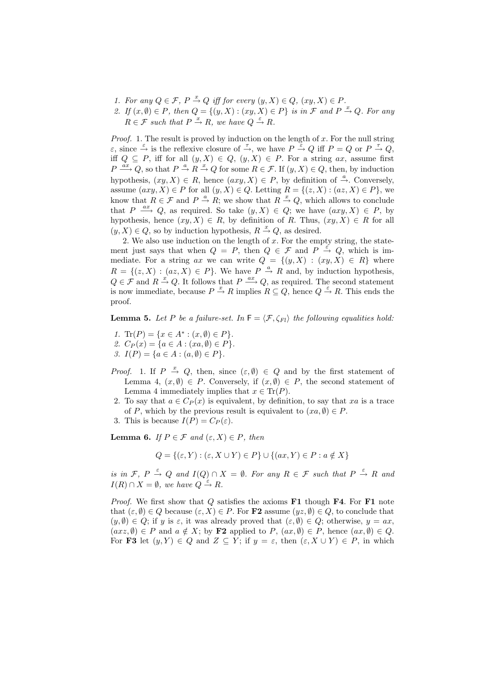- 1. For any  $Q \in \mathcal{F}$ ,  $P \stackrel{x}{\rightarrow} Q$  iff for every  $(y, X) \in Q$ ,  $(xy, X) \in P$ .
- 2. If  $(x, \emptyset) \in P$ , then  $Q = \{(y, X) : (xy, X) \in P\}$  is in  $\mathcal F$  and  $P \stackrel{x}{\rightarrow} Q$ . For any  $R \in \mathcal{F}$  such that  $P \stackrel{x}{\rightarrow} R$ , we have  $Q \stackrel{\varepsilon}{\rightarrow} R$ .

*Proof.* 1. The result is proved by induction on the length of  $x$ . For the null string  $\varepsilon$ , since  $\stackrel{\varepsilon}{\to}$  is the reflexive closure of  $\stackrel{\tau}{\to}$ , we have  $P \stackrel{\varepsilon}{\to} Q$  iff  $P = Q$  or  $P \stackrel{\tau}{\to} Q$ , iff  $Q \subseteq P$ , iff for all  $(y, X) \in Q$ ,  $(y, X) \in P$ . For a string ax, assume first  $P \stackrel{ax}{\longrightarrow} Q$ , so that  $P \stackrel{a}{\rightarrow} R \stackrel{x}{\rightarrow} Q$  for some  $R \in \mathcal{F}$ . If  $(y, X) \in Q$ , then, by induction hypothesis,  $(xy, X) \in R$ , hence  $(axy, X) \in P$ , by definition of  $\stackrel{a}{\rightarrow}$ . Conversely, assume  $(axy, X) \in P$  for all  $(y, X) \in Q$ . Letting  $R = \{(z, X) : (az, X) \in P\}$ , we know that  $R \in \mathcal{F}$  and  $P \stackrel{a}{\rightarrow} R$ ; we show that  $R \stackrel{x}{\rightarrow} Q$ , which allows to conclude that  $P \stackrel{ax}{\longrightarrow} Q$ , as required. So take  $(y, X) \in Q$ ; we have  $(axy, X) \in P$ , by hypothesis, hence  $(xy, X) \in R$ , by definition of R. Thus,  $(xy, X) \in R$  for all  $(y, X) \in Q$ , so by induction hypothesis,  $R \stackrel{x}{\rightarrow} Q$ , as desired.

2. We also use induction on the length of  $x$ . For the empty string, the statement just says that when  $Q = P$ , then  $Q \in \mathcal{F}$  and  $P \stackrel{\varepsilon}{\to} Q$ , which is immediate. For a string ax we can write  $Q = \{(y, X) : (xy, X) \in R\}$  where  $R = \{(z, X) : (az, X) \in P\}$ . We have  $P \stackrel{a}{\rightarrow} R$  and, by induction hypothesis,  $Q \in \mathcal{F}$  and  $R \stackrel{x}{\rightarrow} Q$ . It follows that  $P \stackrel{ax}{\longrightarrow} Q$ , as required. The second statement is now immediate, because  $P \stackrel{x}{\to} R$  implies  $R \subseteq Q$ , hence  $Q \stackrel{\varepsilon}{\to} R$ . This ends the proof.

**Lemma 5.** Let P be a failure-set. In  $F = \langle F, \zeta_{Fl} \rangle$  the following equalities hold:

- 1. Tr(P) = { $x \in A^* : (x, \emptyset) \in P$  }.
- 2.  $C_P(x) = \{a \in A : (xa, \emptyset) \in P\}.$
- 3.  $I(P) = \{a \in A : (a, \emptyset) \in P\}.$
- *Proof.* 1. If  $P \stackrel{x}{\rightarrow} Q$ , then, since  $(\varepsilon, \emptyset) \in Q$  and by the first statement of Lemma 4,  $(x, \emptyset) \in P$ . Conversely, if  $(x, \emptyset) \in P$ , the second statement of Lemma 4 immediately implies that  $x \in \text{Tr}(P)$ .
- 2. To say that  $a \in C_P(x)$  is equivalent, by definition, to say that xa is a trace of P, which by the previous result is equivalent to  $(xa, \emptyset) \in P$ .
- 3. This is because  $I(P) = C_P(\varepsilon)$ .

**Lemma 6.** If  $P \in \mathcal{F}$  and  $(\varepsilon, X) \in P$ , then

$$
Q = \{ (\varepsilon, Y) : (\varepsilon, X \cup Y) \in P \} \cup \{ (ax, Y) \in P : a \notin X \}
$$

is in  $\mathcal{F}, P \stackrel{\varepsilon}{\rightarrow} Q$  and  $I(Q) \cap X = \emptyset$ . For any  $R \in \mathcal{F}$  such that  $P \stackrel{\varepsilon}{\rightarrow} R$  and  $I(R) \cap X = \emptyset$ , we have  $Q \stackrel{\varepsilon}{\rightarrow} R$ .

*Proof.* We first show that  $Q$  satisfies the axioms **F1** though **F4**. For **F1** note that  $(\varepsilon, \emptyset) \in Q$  because  $(\varepsilon, X) \in P$ . For **F2** assume  $(yz, \emptyset) \in Q$ , to conclude that  $(y, \emptyset) \in Q$ ; if y is  $\varepsilon$ , it was already proved that  $(\varepsilon, \emptyset) \in Q$ ; otherwise,  $y = ax$ ,  $(axz, \emptyset) \in P$  and  $a \notin X$ ; by **F2** applied to  $P$ ,  $(ax, \emptyset) \in P$ , hence  $(ax, \emptyset) \in Q$ . For F3 let  $(y, Y) \in Q$  and  $Z \subseteq Y$ ; if  $y = \varepsilon$ , then  $(\varepsilon, X \cup Y) \in P$ , in which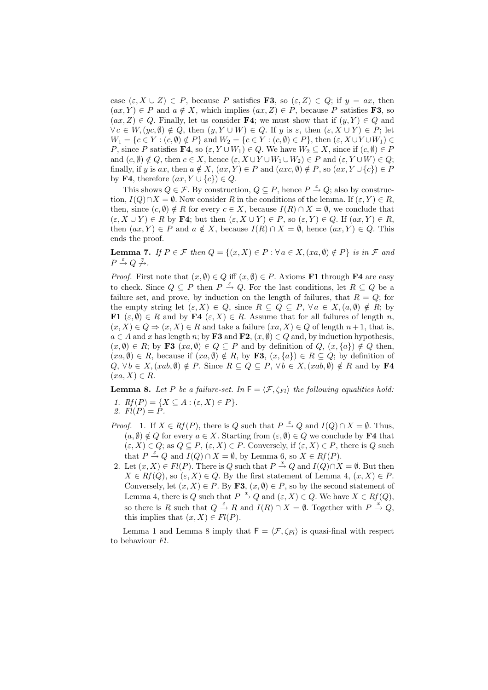case  $(\varepsilon, X \cup Z) \in P$ , because P satisfies **F3**, so  $(\varepsilon, Z) \in Q$ ; if  $y = ax$ , then  $(ax, Y) \in P$  and  $a \notin X$ , which implies  $(ax, Z) \in P$ , because P satisfies **F3**, so  $(ax, Z) \in Q$ . Finally, let us consider **F4**; we must show that if  $(y, Y) \in Q$  and  $\forall c \in W, (yc, \emptyset) \notin Q$ , then  $(y, Y \cup W) \in Q$ . If y is  $\varepsilon$ , then  $(\varepsilon, X \cup Y) \in P$ ; let  $W_1 = \{c \in Y : (c, \emptyset) \notin P\}$  and  $W_2 = \{c \in Y : (c, \emptyset) \in P\}$ , then  $(\varepsilon, X \cup Y \cup W_1) \in$ P, since P satisfies F4, so  $(\varepsilon, Y \cup W_1) \in Q$ . We have  $W_2 \subseteq X$ , since if  $(c, \emptyset) \in P$ and  $(c, \emptyset) \notin Q$ , then  $c \in X$ , hence  $(\varepsilon, X \cup Y \cup W_1 \cup W_2) \in P$  and  $(\varepsilon, Y \cup W) \in Q$ ; finally, if y is ax, then  $a \notin X$ ,  $(ax, Y) \in P$  and  $(axc, \emptyset) \notin P$ , so  $(ax, Y \cup \{c\}) \in P$ by **F4**, therefore  $(ax, Y \cup \{c\}) \in Q$ .

This shows  $Q \in \mathcal{F}$ . By construction,  $Q \subseteq P$ , hence  $P \stackrel{\varepsilon}{\rightarrow} Q$ ; also by construction,  $I(Q) \cap X = \emptyset$ . Now consider R in the conditions of the lemma. If  $(\varepsilon, Y) \in R$ , then, since  $(c, \emptyset) \notin R$  for every  $c \in X$ , because  $I(R) \cap X = \emptyset$ , we conclude that  $(\varepsilon, X \cup Y) \in R$  by **F4**; but then  $(\varepsilon, X \cup Y) \in P$ , so  $(\varepsilon, Y) \in Q$ . If  $(ax, Y) \in R$ , then  $(ax, Y) \in P$  and  $a \notin X$ , because  $I(R) \cap X = \emptyset$ , hence  $(ax, Y) \in Q$ . This ends the proof.

**Lemma 7.** If  $P \in \mathcal{F}$  then  $Q = \{(x, X) \in P : \forall a \in X, (xa, \emptyset) \notin P\}$  is in  $\mathcal{F}$  and  $P \stackrel{\varepsilon}{\rightarrow} Q \not \stackrel{\tau}{\rightarrow}$ .

*Proof.* First note that  $(x, \emptyset) \in Q$  iff  $(x, \emptyset) \in P$ . Axioms **F1** through **F4** are easy to check. Since  $Q \subseteq P$  then  $P \stackrel{\varepsilon}{\rightarrow} Q$ . For the last conditions, let  $R \subseteq Q$  be a failure set, and prove, by induction on the length of failures, that  $R = Q$ ; for the empty string let  $(\varepsilon, X) \in Q$ , since  $R \subseteq Q \subseteq P$ ,  $\forall a \in X, (a, \emptyset) \notin R$ ; by **F1**  $(\varepsilon, \emptyset) \in R$  and by **F4**  $(\varepsilon, X) \in R$ . Assume that for all failures of length n,  $(x, X) \in Q \Rightarrow (x, X) \in R$  and take a failure  $(xa, X) \in Q$  of length  $n + 1$ , that is,  $a \in A$  and x has length n; by **F3** and **F2**,  $(x, \emptyset) \in Q$  and, by induction hypothesis,  $(x, \emptyset) \in R$ ; by **F3**  $(xa, \emptyset) \in Q \subseteq P$  and by definition of  $Q$ ,  $(x, \{a\}) \notin Q$  then,  $(xa, \emptyset) \in R$ , because if  $(xa, \emptyset) \notin R$ , by **F3**,  $(x, \{a\}) \in R \subseteq Q$ ; by definition of  $Q, \forall b \in X, (xab, \emptyset) \notin P$ . Since  $R \subseteq Q \subseteq P, \forall b \in X, (xab, \emptyset) \notin R$  and by **F4**  $(xa, X) \in R$ .

**Lemma 8.** Let P be a failure-set. In  $F = \langle F, \zeta_{Fl} \rangle$  the following equalities hold: 1.  $Rf(P) = \{X \subseteq A : (\varepsilon, X) \in P\}.$ 

$$
2. Fl(P) = P.
$$

- *Proof.* 1. If  $X \in Rf(P)$ , there is Q such that  $P \stackrel{\varepsilon}{\rightarrow} Q$  and  $I(Q) \cap X = \emptyset$ . Thus,  $(a, \emptyset) \notin Q$  for every  $a \in X$ . Starting from  $(\varepsilon, \emptyset) \in Q$  we conclude by **F4** that  $(\varepsilon, X) \in Q$ ; as  $Q \subseteq P$ ,  $(\varepsilon, X) \in P$ . Conversely, if  $(\varepsilon, X) \in P$ , there is Q such that  $P \stackrel{\varepsilon}{\rightarrow} Q$  and  $I(Q) \cap X = \emptyset$ , by Lemma 6, so  $X \in Rf(P)$ .
- 2. Let  $(x, X) \in Fl(P)$ . There is Q such that  $P \stackrel{x}{\rightarrow} Q$  and  $I(Q) \cap X = \emptyset$ . But then  $X \in Rf(Q)$ , so  $(\varepsilon, X) \in Q$ . By the first statement of Lemma 4,  $(x, X) \in P$ . Conversely, let  $(x, X) \in P$ . By **F3**,  $(x, \emptyset) \in P$ , so by the second statement of Lemma 4, there is Q such that  $P \stackrel{x}{\rightarrow} Q$  and  $(\varepsilon, X) \in Q$ . We have  $X \in Rf(Q)$ , so there is R such that  $Q \stackrel{\varepsilon}{\rightarrow} R$  and  $I(R) \cap X = \emptyset$ . Together with  $P \stackrel{x}{\rightarrow} Q$ , this implies that  $(x, X) \in Fl(P)$ .

Lemma 1 and Lemma 8 imply that  $F = \langle \mathcal{F}, \zeta_{Fl} \rangle$  is quasi-final with respect to behaviour Fl.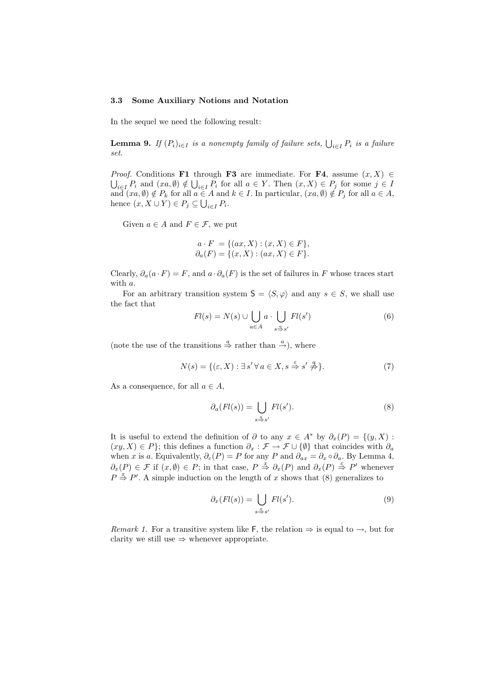#### 3.3 Some Auxiliary Notions and Notation

In the sequel we need the following result:

**Lemma 9.** If  $(P_i)_{i \in I}$  is a nonempty family of failure sets,  $\bigcup_{i \in I} P_i$  is a failure set.

*Proof.* Conditions **F1** through **F3** are immediate. For **F4**, assume  $(x, X) \in$  $i\in I P_i$  and  $(xa,\emptyset) \notin \bigcup_{i\in I} P_i$  for all  $a \in Y$ . Then  $(x,X) \in P_j$  for some  $j \in I$ and  $(xa, \emptyset) \notin P_k$  for all  $a \in A$  and  $k \in I$ . In particular,  $(xa, \emptyset) \notin P_j$  for all  $a \in A$ , hence  $(x, X \cup Y) \in P_j \subseteq \bigcup_{i \in I} P_i$ .

Given  $a \in A$  and  $F \in \mathcal{F}$ , we put

$$
a \cdot F = \{(ax, X) : (x, X) \in F\},\
$$
  

$$
\partial_a(F) = \{(x, X) : (ax, X) \in F\}.
$$

Clearly,  $\partial_a(a \cdot F) = F$ , and  $a \cdot \partial_a(F)$  is the set of failures in F whose traces start with a.

For an arbitrary transition system  $S = \langle S, \varphi \rangle$  and any  $s \in S$ , we shall use the fact that  $\overline{\phantom{a}}$  $\ddot{\phantom{1}}$ 

$$
Fl(s) = N(s) \cup \bigcup_{a \in A} a \cdot \bigcup_{s \stackrel{a}{\Rightarrow} s'} Fl(s')
$$
(6)

(note the use of the transitions  $\stackrel{a}{\Rightarrow}$  rather than  $\stackrel{a}{\rightarrow}$ ), where

$$
N(s) = \{ (\varepsilon, X) : \exists s' \forall a \in X, s \stackrel{\varepsilon}{\Rightarrow} s' \stackrel{q}{\neq} \}.
$$
 (7)

As a consequence, for all  $a \in A$ ,

$$
\partial_a(Fl(s)) = \bigcup_{s \stackrel{\alpha}{\to} s'} Fl(s'). \tag{8}
$$

It is useful to extend the definition of  $\partial$  to any  $x \in A^*$  by  $\partial_x(P) = \{(y, X) :$  $(xy, X) \in P$ ; this defines a function  $\partial_x : \mathcal{F} \to \mathcal{F} \cup \{\emptyset\}$  that coincides with  $\partial_a$ when x is a. Equivalently,  $\partial_{\varepsilon}(P) = P$  for any P and  $\partial_{ax} = \partial_x \circ \partial_a$ . By Lemma 4,  $\partial_x(P) \in \mathcal{F}$  if  $(x, \emptyset) \in P$ ; in that case,  $P \stackrel{x}{\Rightarrow} \partial_x(P)$  and  $\partial_x(P) \stackrel{\epsilon}{\Rightarrow} P'$  whenever  $P \stackrel{x}{\Rightarrow} P'$ . A simple induction on the length of x shows that (8) generalizes to

$$
\partial_x(Fl(s)) = \bigcup_{s \stackrel{x}{\to} s'} Fl(s'). \tag{9}
$$

Remark 1. For a transitive system like F, the relation  $\Rightarrow$  is equal to  $\rightarrow$ , but for clarity we still use  $\Rightarrow$  whenever appropriate.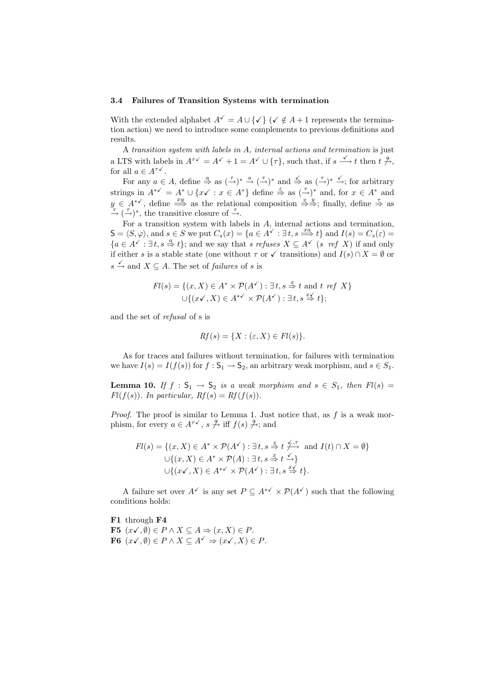#### 3.4 Failures of Transition Systems with termination

With the extended alphabet  $A^{\checkmark} = A \cup {\checkmark}$  ( $\checkmark \notin A + 1$  represents the termination action) we need to introduce some complements to previous definitions and results.

A transition system with labels in A, internal actions and termination is just a LTS with labels in  $A^{\tau\checkmark} = A^{\checkmark} + 1 = A^{\checkmark} \cup {\tau}$ , such that, if  $s \stackrel{\checkmark}{\longrightarrow} t$  then  $t \stackrel{q}{\rightarrow}$ , for all  $a \in A^{\tau\checkmark}$ .

For any  $a \in A$ , define  $\stackrel{a}{\Rightarrow}$  as  $(\stackrel{\tau}{\rightarrow})^* \stackrel{a}{\rightarrow} (\stackrel{\tau}{\rightarrow})^*$  and  $\stackrel{\checkmark}{\Rightarrow}$  as  $(\stackrel{\tau}{\rightarrow})^* \stackrel{\checkmark}{\rightarrow}$ ; for arbitrary strings in  $A^{*\checkmark} = A^* \cup \{x\checkmark : x \in A^*\}$  define  $\stackrel{\epsilon}{\Rightarrow}$  as  $(\stackrel{\tau}{\rightarrow})^*$  and, for  $x \in A^*$  and  $y \in A^{*\checkmark}$ , define  $\stackrel{xy}{\Longrightarrow}$  as the relational composition  $\stackrel{x}{\Rightarrow} \stackrel{y}{\Rightarrow}$ ; finally, define  $\stackrel{\tau}{\Rightarrow}$  as  $\stackrel{\tau}{\rightarrow}$  ( $\stackrel{\tau}{\rightarrow}$ )<sup>\*</sup>, the transitive closure of  $\stackrel{\tau}{\rightarrow}$ .

For a transition system with labels in A, internal actions and termination,  $S = \langle S, \varphi \rangle$ , and  $s \in S$  we put  $C_s(x) = \{a \in A^{\checkmark} : \exists t, s \stackrel{xa}{\Longrightarrow} t\}$  and  $I(s) = C_s(\varepsilon) =$  ${a \in A^\checkmark : \exists t, s \stackrel{a}{\Rightarrow} t};$  and we say that s refuses  $X \subseteq A^\checkmark$  (s ref X) if and only if either s is a stable state (one without  $\tau$  or  $\checkmark$  transitions) and  $I(s) \cap X = \emptyset$  or  $s \stackrel{\checkmark}{\rightarrow}$  and  $X \subseteq A$ . The set of *failures* of *s* is

$$
Fl(s) = \{(x, X) \in A^* \times \mathcal{P}(A^{\checkmark}) : \exists t, s \stackrel{x}{\Rightarrow} t \text{ and } t \text{ ref } X\}
$$
  

$$
\cup \{ (x\checkmark, X) \in A^{*\checkmark} \times \mathcal{P}(A^{\checkmark}) : \exists t, s \stackrel{x}{\Rightarrow} t \};
$$

and the set of refusal of s is

$$
Rf(s) = \{X : (\varepsilon, X) \in Fl(s)\}.
$$

As for traces and failures without termination, for failures with termination we have  $I(s) = I(f(s))$  for  $f : \mathsf{S}_1 \to \mathsf{S}_2$ , an arbitrary weak morphism, and  $s \in S_1$ .

**Lemma 10.** If  $f : S_1 \to S_2$  is a weak morphism and  $s \in S_1$ , then  $Fl(s) =$  $Fl(f(s))$ . In particular,  $Rf(s) = Rf(f(s))$ .

*Proof.* The proof is similar to Lemma 1. Just notice that, as  $f$  is a weak morphism, for every  $a \in A^{\tau\checkmark}$ ,  $s \overset{q}{\to}$  iff  $f(s) \overset{q}{\to}$ ; and

$$
Fl(s) = \{(x, X) \in A^* \times \mathcal{P}(A^{\checkmark}) : \exists t, s \stackrel{x}{\Rightarrow} t \stackrel{\checkmark}, \tau}{\leftrightarrow} \text{ and } I(t) \cap X = \emptyset\}
$$
  

$$
\cup \{(x, X) \in A^* \times \mathcal{P}(A) : \exists t, s \stackrel{x}{\Rightarrow} t \stackrel{\checkmark}{\rightarrow} \}
$$
  

$$
\cup \{(x\checkmark, X) \in A^{*\checkmark} \times \mathcal{P}(A^{\checkmark}) : \exists t, s \stackrel{x}{\Rightarrow} t \}.
$$

A failure set over  $A^{\checkmark}$  is any set  $P \subset A^{*\checkmark} \times \mathcal{P}(A^{\checkmark})$  such that the following conditions holds:

F1 through F4 **F5**  $(x\checkmark, \emptyset)$  ∈  $P \wedge X \subseteq A \Rightarrow (x, X) \in P$ . **F6**  $(x\checkmark, \emptyset)$  ∈  $P \wedge X \subseteq A^\checkmark \Rightarrow (x\checkmark, X) \in P$ .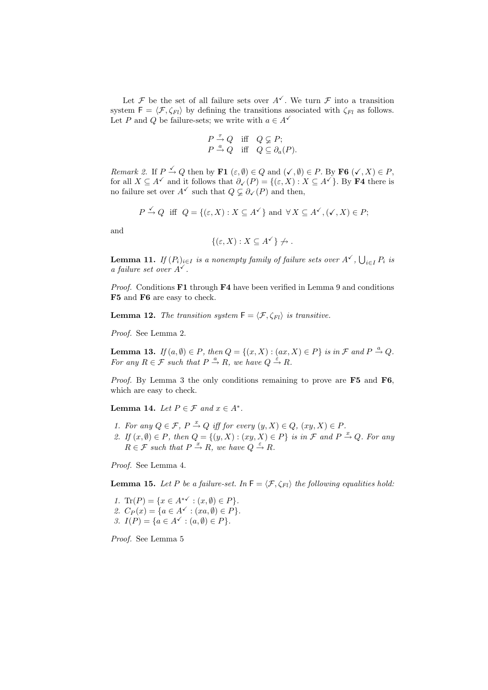Let F be the set of all failure sets over  $A^{\checkmark}$ . We turn F into a transition system  $F = \langle \mathcal{F}, \zeta_{Fl} \rangle$  by defining the transitions associated with  $\zeta_{Fl}$  as follows. Let P and Q be failure-sets; we write with  $a \in A^{\checkmark}$ 

$$
\begin{array}{ccc}\nP \stackrel{\tau}{\to} Q & \text{iff} & Q \subsetneq P; \\
P \stackrel{a}{\to} Q & \text{iff} & Q \subseteq \partial_a(P).\n\end{array}
$$

Remark 2. If  $P \xrightarrow{\checkmark} Q$  then by  $\mathbf{F1} (\varepsilon, \emptyset) \in Q$  and  $(\checkmark, \emptyset) \in P$ . By  $\mathbf{F6} (\checkmark, X) \in P$ , for all  $X \subseteq A^{\checkmark}$  and it follows that  $\partial_{\checkmark}(P) = \{(\varepsilon, X) : X \subseteq A^{\checkmark}\}$ . By **F4** there is no failure set over  $A^{\checkmark}$  such that  $Q \varsubsetneq \partial_{\checkmark}(P)$  and then,

$$
P \stackrel{\checkmark}{\to} Q
$$
 iff  $Q = \{(\varepsilon, X) : X \subseteq A^{\checkmark}\}$  and  $\forall X \subseteq A^{\checkmark}$ ,  $(\checkmark, X) \in P$ ;

and

$$
\{(\varepsilon, X) : X \subseteq A^{\checkmark}\} \not\to.
$$

**Lemma 11.** If  $(P_i)_{i \in I}$  is a nonempty family of failure sets over  $A^{\checkmark}$ ,  $\bigcup_{i \in I} P_i$  is a failure set over  $A^{\checkmark}$ .

*Proof.* Conditions  $\mathbf{F1}$  through  $\mathbf{F4}$  have been verified in Lemma 9 and conditions F5 and F6 are easy to check.

**Lemma 12.** The transition system  $F = \langle F, \zeta_{Fl} \rangle$  is transitive.

Proof. See Lemma 2.

**Lemma 13.** If  $(a, \emptyset) \in P$ , then  $Q = \{(x, X) : (ax, X) \in P\}$  is in  $\mathcal{F}$  and  $P \stackrel{a}{\rightarrow} Q$ . For any  $R \in \mathcal{F}$  such that  $P \stackrel{a}{\rightarrow} R$ , we have  $Q \stackrel{\varepsilon}{\rightarrow} R$ .

Proof. By Lemma 3 the only conditions remaining to prove are F5 and F6, which are easy to check.

Lemma 14. Let  $P \in \mathcal{F}$  and  $x \in A^*$ .

- 1. For any  $Q \in \mathcal{F}$ ,  $P \stackrel{x}{\rightarrow} Q$  iff for every  $(y, X) \in Q$ ,  $(xy, X) \in P$ .
- 2. If  $(x, \emptyset) \in P$ , then  $Q = \{(y, X) : (xy, X) \in P\}$  is in  $\mathcal F$  and  $P \stackrel{x}{\rightarrow} Q$ . For any  $R \in \mathcal{F}$  such that  $P \stackrel{x}{\rightarrow} R$ , we have  $Q \stackrel{\varepsilon}{\rightarrow} R$ .

Proof. See Lemma 4.

**Lemma 15.** Let P be a failure-set. In  $F = \langle F, \zeta_{Fl} \rangle$  the following equalities hold:

1. Tr(P) = { $x \in A^{*\checkmark} : (x, \emptyset) \in P$  }. 2.  $C_P(x) = \{a \in A^{\checkmark} : (xa, \emptyset) \in P\}.$ 3.  $I(P) = \{a \in A^{\checkmark} : (a, \emptyset) \in P\}.$ 

Proof. See Lemma 5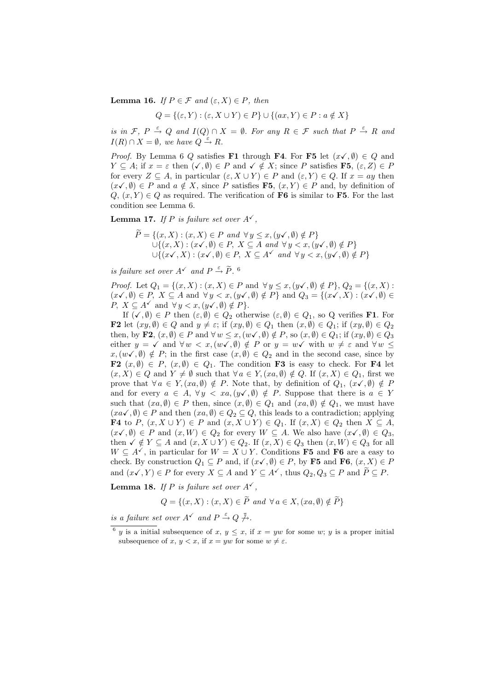**Lemma 16.** If  $P \in \mathcal{F}$  and  $(\varepsilon, X) \in P$ , then

$$
Q = \{ (\varepsilon, Y) : (\varepsilon, X \cup Y) \in P \} \cup \{ (ax, Y) \in P : a \notin X \}
$$

is in  $\mathcal{F}, P \stackrel{\varepsilon}{\rightarrow} Q$  and  $I(Q) \cap X = \emptyset$ . For any  $R \in \mathcal{F}$  such that  $P \stackrel{\varepsilon}{\rightarrow} R$  and  $I(R) \cap X = \emptyset$ , we have  $Q \stackrel{\varepsilon}{\rightarrow} R$ .

*Proof.* By Lemma 6 Q satisfies F1 through F4. For F5 let  $(x\checkmark, \emptyset) \in Q$  and  $Y \subseteq A$ ; if  $x = \varepsilon$  then  $(\checkmark, \emptyset) \in P$  and  $\checkmark \notin X$ ; since P satisfies **F5**,  $(\varepsilon, Z) \in P$ for every  $Z \subseteq A$ , in particular  $(\varepsilon, X \cup Y) \in P$  and  $(\varepsilon, Y) \in Q$ . If  $x = ay$  then  $(x\checkmark, \emptyset) \in P$  and  $a \notin X$ , since P satisfies F5,  $(x, Y) \in P$  and, by definition of  $Q, (x, Y) \in Q$  as required. The verification of **F6** is similar to **F5**. For the last condition see Lemma 6.

**Lemma 17.** If P is failure set over  $A^{\checkmark}$ ,

$$
\widetilde{P} = \{(x, X) : (x, X) \in P \text{ and } \forall y \le x, (y \checkmark, \emptyset) \notin P\}
$$
  
\n
$$
\bigcup \{(x, X) : (x \checkmark, \emptyset) \in P, X \subseteq A \text{ and } \forall y < x, (y \checkmark, \emptyset) \notin P\}
$$
  
\n
$$
\bigcup \{(x \checkmark, X) : (x \checkmark, \emptyset) \in P, X \subseteq A \checkmark \text{ and } \forall y < x, (y \checkmark, \emptyset) \notin P\}
$$

is failure set over  $A^{\checkmark}$  and  $P \stackrel{\varepsilon}{\rightarrow} \tilde{P}$ .

*Proof.* Let  $Q_1 = \{(x, X) : (x, X) \in P \text{ and } \forall y \leq x, (y \checkmark, \emptyset) \notin P\}, Q_2 = \{(x, X) : (x, X) \in P \text{ and } \forall y \leq x, (y \checkmark, \emptyset) \notin P\}$  $(x\checkmark, \emptyset) \in P$ ,  $X \subseteq A$  and  $\forall y < x, (y\checkmark, \emptyset) \notin P$ } and  $Q_3 = \{(x\checkmark, X) : (x\checkmark, \emptyset) \in P\}$  $P, X \subseteq A^{\checkmark}$  and  $\forall y < x, (y\checkmark, \emptyset) \notin P$ .

If  $(\checkmark, \emptyset) \in P$  then  $(\varepsilon, \emptyset) \in Q_2$  otherwise  $(\varepsilon, \emptyset) \in Q_1$ , so Q verifies **F1**. For **F2** let  $(xy, \emptyset) \in Q$  and  $y \neq \varepsilon$ ; if  $(xy, \emptyset) \in Q_1$  then  $(x, \emptyset) \in Q_1$ ; if  $(xy, \emptyset) \in Q_2$ then, by F2,  $(x, \emptyset) \in P$  and  $\forall w \leq x, (w \checkmark, \emptyset) \notin P$ , so  $(x, \emptyset) \in Q_1$ ; if  $(xy, \emptyset) \in Q_3$ either  $y = \checkmark$  and  $\forall w < x, (w\checkmark, \emptyset) \notin P$  or  $y = w\checkmark$  with  $w \neq \varepsilon$  and  $\forall w \leq \checkmark$  $x,(w\checkmark,\emptyset) \notin P;$  in the first case  $(x,\emptyset) \in Q_2$  and in the second case, since by F2  $(x, \emptyset) \in P$ ,  $(x, \emptyset) \in Q_1$ . The condition F3 is easy to check. For F4 let  $(x, X) \in Q$  and  $Y \neq \emptyset$  such that  $\forall a \in Y, (xa, \emptyset) \notin Q$ . If  $(x, X) \in Q_1$ , first we prove that  $\forall a \in Y, (xa, \emptyset) \notin P$ . Note that, by definition of  $Q_1, (x \checkmark, \emptyset) \notin P$ and for every  $a \in A$ ,  $\forall y \langle xa, (y\checkmark, \emptyset) \notin P$ . Suppose that there is  $a \in Y$ such that  $(xa, \emptyset) \in P$  then, since  $(x, \emptyset) \in Q_1$  and  $(xa, \emptyset) \notin Q_1$ , we must have  $(xa\checkmark, \emptyset) \in P$  and then  $(xa, \emptyset) \in Q_2 \subseteq Q$ , this leads to a contradiction; applying **F4** to P,  $(x, X \cup Y)$  ∈ P and  $(x, X \cup Y)$  ∈ Q<sub>1</sub>. If  $(x, X)$  ∈ Q<sub>2</sub> then  $X \subseteq A$ ,  $(x\checkmark, \emptyset) \in P$  and  $(x, W) \in Q_2$  for every  $W \subseteq A$ . We also have  $(x\checkmark, \emptyset) \in Q_3$ , then  $\checkmark \notin Y \subseteq A$  and  $(x, X \cup Y) \in Q_2$ . If  $(x, X) \in Q_3$  then  $(x, W) \in Q_3$  for all  $W \subseteq A^{\checkmark}$ , in particular for  $W = X \cup Y$ . Conditions **F5** and **F6** are a easy to check. By construction  $Q_1 \subseteq P$  and, if  $(x\checkmark, \emptyset) \in P$ , by **F5** and **F6**,  $(x, X) \in P$ and  $(x\checkmark, Y) \in P$  for every  $X \subseteq A$  and  $Y \subseteq A^{\checkmark}$ , thus  $Q_2, Q_3 \subseteq P$  and  $\widetilde{P} \subseteq P$ .

**Lemma 18.** If P is failure set over  $A^{\checkmark}$ ,

$$
Q = \{(x, X) : (x, X) \in \widetilde{P} \text{ and } \forall a \in X, (xa, \emptyset) \notin \widetilde{P}\}\
$$

is a failure set over  $A^{\checkmark}$  and  $P \stackrel{\varepsilon}{\to} Q \stackrel{\tau}{\to}$ .

<sup>&</sup>lt;sup>6</sup> y is a initial subsequence of x,  $y \leq x$ , if  $x = yw$  for some w; y is a proper initial subsequence of x,  $y < x$ , if  $x = yw$  for some  $w \neq \varepsilon$ .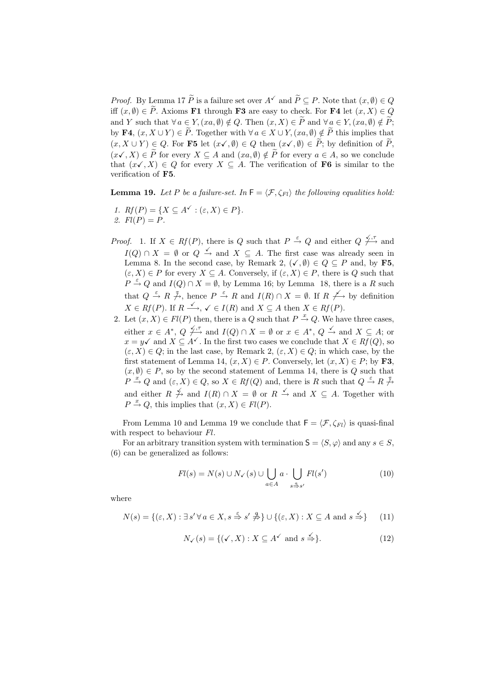*Proof.* By Lemma 17  $\widetilde{P}$  is a failure set over  $A^{\checkmark}$  and  $\widetilde{P} \subseteq P$ . Note that  $(x, \emptyset) \in Q$ iff  $(x, \emptyset) \in \widetilde{P}$ . Axioms **F1** through **F3** are easy to check. For **F4** let  $(x, X) \in Q$ and Y such that  $\forall a \in Y, (xa, \emptyset) \notin Q$ . Then  $(x, X) \in \widetilde{P}$  and  $\forall a \in Y, (xa, \emptyset) \notin \widetilde{P}$ ; by F4,  $(x, X \cup Y) \in \tilde{P}$ . Together with  $\forall a \in X \cup Y$ ,  $(xa, \emptyset) \notin \tilde{P}$  this implies that  $(x, X \cup Y) \in Q$ . For F5 let  $(x\checkmark, \emptyset) \in Q$  then  $(x\checkmark, \emptyset) \in \overset{\sim}{P}$ ; by definition of  $\overset{\sim}{P}$ ,  $(x\checkmark, X) \in \widetilde{P}$  for every  $X \subseteq A$  and  $(xa, \emptyset) \notin \widetilde{P}$  for every  $a \in A$ , so we conclude that  $(x\checkmark, X) \in Q$  for every  $X \subseteq A$ . The verification of **F6** is similar to the verification of F5.

**Lemma 19.** Let P be a failure-set. In  $F = \langle \mathcal{F}, \zeta_{Fl} \rangle$  the following equalities hold:

- 1.  $Rf(P) = \{X \subseteq A^{\checkmark} : (\varepsilon, X) \in P\}.$ 2.  $Fl(P) = P$ .
- *Proof.* 1. If  $X \in Rf(P)$ , there is Q such that  $P \stackrel{\varepsilon}{\rightarrow} Q$  and either  $Q \not\stackrel{\sqrt{f}}{\rightarrow}$  and  $I(Q) \cap X = \emptyset$  or  $Q \stackrel{\checkmark}{\rightarrow}$  and  $X \subseteq A$ . The first case was already seen in Lemma 8. In the second case, by Remark 2,  $(\checkmark, \emptyset) \in Q \subseteq P$  and, by F5,  $(\varepsilon, X) \in P$  for every  $X \subseteq A$ . Conversely, if  $(\varepsilon, X) \in P$ , there is Q such that  $P \stackrel{\varepsilon}{\rightarrow} Q$  and  $I(Q) \cap X = \emptyset$ , by Lemma 16; by Lemma 18, there is a R such that  $Q \stackrel{\varepsilon}{\to} R \not\stackrel{\tau}{\to}$ , hence  $P \stackrel{\varepsilon}{\to} R$  and  $I(R) \cap X = \emptyset$ . If  $R \not\longrightarrow$  by definition  $X \in Rf(P)$ . If  $R \xrightarrow{\checkmark} \checkmark \in I(R)$  and  $X \subseteq A$  then  $X \in Rf(P)$ .
- 2. Let  $(x, X) \in Fl(P)$  then, there is a Q such that  $P \stackrel{x}{\rightarrow} Q$ . We have three cases, either  $x \in A^*, Q \not\stackrel{\checkmark}, \tau$  and  $I(Q) \cap X = \emptyset$  or  $x \in A^*, Q \not\stackrel{\checkmark}{\to}$  and  $X \subseteq A$ ; or  $x = y\checkmark$  and  $X \subseteq A\checkmark$ . In the first two cases we conclude that  $X \in Rf(Q)$ , so  $(\varepsilon, X) \in Q$ ; in the last case, by Remark 2,  $(\varepsilon, X) \in Q$ ; in which case, by the first statement of Lemma 14,  $(x, X) \in P$ . Conversely, let  $(x, X) \in P$ ; by **F3**,  $(x, \emptyset) \in P$ , so by the second statement of Lemma 14, there is Q such that  $P \stackrel{x}{\rightarrow} Q$  and  $(\varepsilon, X) \in Q$ , so  $X \in Rf(Q)$  and, there is R such that  $Q \stackrel{\varepsilon}{\rightarrow} R \stackrel{\mathcal{T}}{\rightarrow} R$ and either  $R \not\to \text{ and } I(R) \cap X = \emptyset$  or  $R \not\to \text{ and } X \subseteq A$ . Together with  $P \stackrel{x}{\rightarrow} Q$ , this implies that  $(x, X) \in Fl(P)$ .

From Lemma 10 and Lemma 19 we conclude that  $\mathsf{F} = \langle \mathcal{F}, \zeta_{Fl} \rangle$  is quasi-final with respect to behaviour  $Fl.$ 

For an arbitrary transition system with termination  $S = \langle S, \varphi \rangle$  and any  $s \in S$ , (6) can be generalized as follows:

$$
Fl(s) = N(s) \cup N_{\checkmark}(s) \cup \bigcup_{a \in A} a \cdot \bigcup_{s \stackrel{a}{\Rightarrow} s'} Fl(s')
$$
 (10)

where

$$
N(s) = \{ (\varepsilon, X) : \exists s' \forall a \in X, s \stackrel{\varepsilon}{\Rightarrow} s' \not\stackrel{a}{\Rightarrow} \} \cup \{ (\varepsilon, X) : X \subseteq A \text{ and } s \stackrel{\checkmark}{\Rightarrow} \} \tag{11}
$$

$$
N_{\checkmark}(s) = \{ (\checkmark, X) : X \subseteq A^{\checkmark} \text{ and } s \stackrel{\checkmark}{\Rightarrow} \}.
$$
 (12)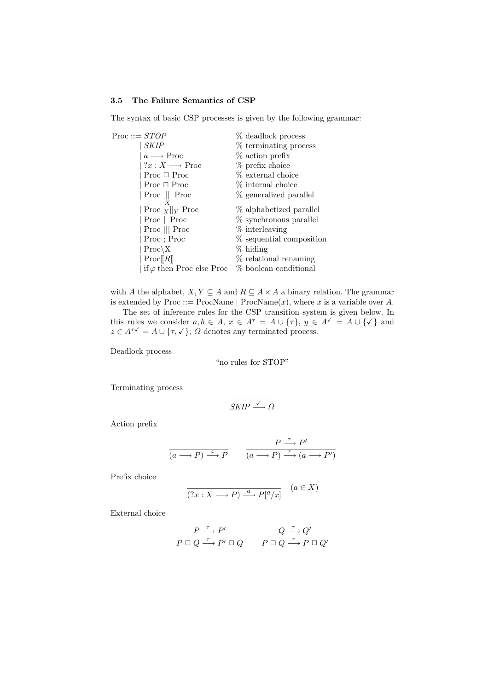## 3.5 The Failure Semantics of CSP

The syntax of basic CSP processes is given by the following grammar:

| Proc ::= $STOP$ |                                   | % deadlock process       |
|-----------------|-----------------------------------|--------------------------|
|                 | <i>SKIP</i>                       | % terminating process    |
|                 | $a \longrightarrow \text{Proc}$   | % action prefix          |
|                 | $?x:X\longrightarrow \text{Proc}$ | % prefix choice          |
|                 | Proc $\Box$ Proc                  | % external choice        |
|                 | Proc $\Box$ Proc                  | % internal choice        |
|                 | Proc $\parallel$ Proc             | % generalized parallel   |
|                 | X                                 |                          |
|                 | $\ $ Proc $\ X\ $ Proc            | % alphabetized parallel  |
|                 | Proc $\parallel$ Proc             | % synchronous parallel   |
|                 | Proc $  $ Proc                    | % interleaving           |
|                 | Proc; Proc                        | % sequential composition |
|                 | $Proc \ X$                        | $%$ hiding               |
|                 | Proc  R                           | % relational renaming    |
|                 | if $\varphi$ then Proc else Proc  | % boolean conditional    |

with A the alphabet,  $X, Y \subseteq A$  and  $R \subseteq A \times A$  a binary relation. The grammar is extended by Proc ::= ProcName | ProcName $(x)$ , where x is a variable over A. The set of inference rules for the CSP transition system is given below. In

this rules we consider  $a, b \in A$ ,  $x \in A^{\tau} = A \cup {\tau}$ ,  $y \in A^{\checkmark} = A \cup {\checkmark}$  and  $z \in A^{\tau\checkmark} = A \cup {\tau, \checkmark}; \Omega$  denotes any terminated process.

Deadlock process

"no rules for STOP"

Terminating process

$$
SKIP \xrightarrow{\checkmark} \Omega
$$

Action prefix

$$
\frac{P \xrightarrow{\tau} P'}{(a \longrightarrow P) \xrightarrow{a} P} \qquad \frac{P \xrightarrow{\tau} P'}{(a \longrightarrow P) \xrightarrow{\tau} (a \longrightarrow P')}
$$

Prefix choice

$$
\overline{(?x:X\longrightarrow P)\xrightarrow{a} P[^a/x]} \quad (a\in X)
$$

External choice

$$
\frac{P \xrightarrow{\tau} P'}{P \Box Q \xrightarrow{\tau} P' \Box Q} \qquad \frac{Q \xrightarrow{\tau} Q'}{P \Box Q \xrightarrow{\tau} P \Box Q'}
$$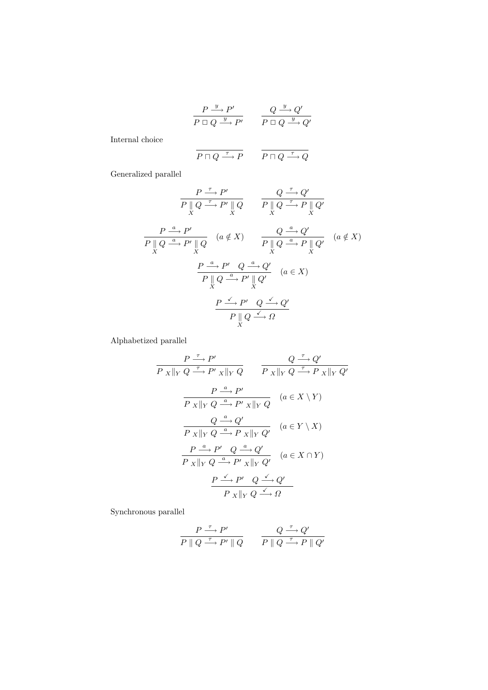$$
\frac{P \xrightarrow{y} P'}{P \Box Q \xrightarrow{y} P'} \qquad \frac{Q \xrightarrow{y} Q'}{P \Box Q \xrightarrow{y} Q'}
$$

Internal choice

$$
\overline{P \sqcap Q \xrightarrow{\tau} P} \qquad \overline{P \sqcap Q \xrightarrow{\tau} Q}
$$

Generalized parallel

$$
\frac{P \xrightarrow{\tau} P'}{P \parallel Q \xrightarrow{\tau} P' \parallel Q} \qquad \frac{Q \xrightarrow{\tau} Q'}{P \parallel Q \xrightarrow{\tau} P \parallel Q'}
$$
\n
$$
\frac{P \xrightarrow{a} P'}{P \parallel Q \xrightarrow{a} P' \parallel Q} \qquad (a \notin X) \qquad \frac{Q \xrightarrow{a} Q'}{P \parallel Q \xrightarrow{a} P \parallel Q'} \qquad (a \notin X)
$$
\n
$$
\frac{P \xrightarrow{a} P'}{P \parallel Q \xrightarrow{a} P' \parallel Q'} \qquad (a \in X)
$$
\n
$$
\frac{P \xrightarrow{\tau} P' \quad Q \xrightarrow{a} Q'}{P \parallel Q \xrightarrow{a} P' \parallel Q'} \qquad (a \in X)
$$
\n
$$
\frac{P \xrightarrow{\tau} P' \quad Q \xrightarrow{\tau} Q'}{P \parallel Q \xrightarrow{\tau} Q}
$$

Alphabetized parallel

$$
\frac{P \xrightarrow{\tau} P'}{P \xVert_{Y} Q \xrightarrow{\tau} P' \xVert_{Y} Q} \qquad \frac{Q \xrightarrow{\tau} Q'}{P \xVert_{Y} Q \xrightarrow{\tau} P \xVert_{Y} Q'}
$$
\n
$$
\frac{P \xrightarrow{a} P'}{P \xVert_{Y} Q \xrightarrow{a} P' \xVert_{Y} Q} \quad (a \in X \setminus Y)
$$
\n
$$
\frac{Q \xrightarrow{a} Q'}{P \xVert_{Y} Q \xrightarrow{a} P \xVert_{Y} Q'} \quad (a \in Y \setminus X)
$$
\n
$$
\frac{P \xrightarrow{a} P'}{P \xVert_{Y} Q \xrightarrow{a} P' \xVert_{Y} Q'} \quad (a \in X \cap Y)
$$
\n
$$
\frac{P \xrightarrow{\tau} P'}{P \xVert_{Y} Q \xrightarrow{a} P' \xVert_{Y} Q'} \quad (a \in X \cap Y)
$$
\n
$$
\frac{P \xrightarrow{\tau} P'}{P \xVert_{Y} Q \xrightarrow{\tau} Q}
$$

Synchronous parallel

$$
\frac{P \xrightarrow{\tau} P'}{P \parallel Q \xrightarrow{\tau} P' \parallel Q} \qquad \frac{Q \xrightarrow{\tau} Q'}{P \parallel Q \xrightarrow{\tau} P \parallel Q'}
$$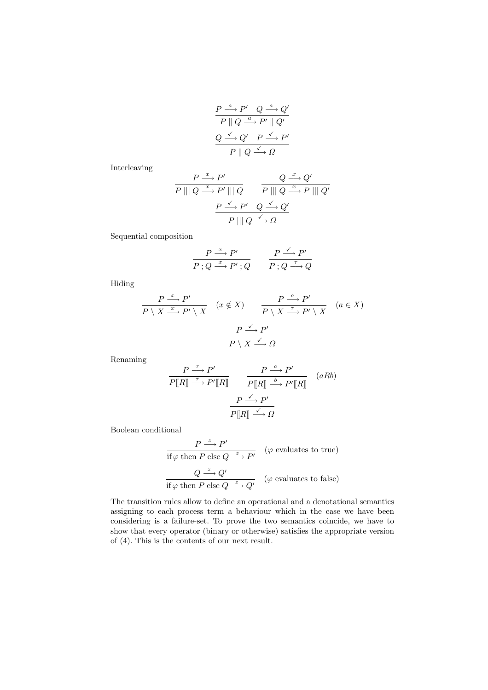$$
\begin{array}{c|c}\nP \xrightarrow{a} P' & Q \xrightarrow{a} Q' \\
\hline\nP \parallel Q \xrightarrow{a} P' \parallel Q' \\
Q \xrightarrow{\checkmark} Q' & P \xrightarrow{\checkmark} P' \\
P \parallel Q \xrightarrow{\checkmark} \Omega\n\end{array}
$$

Interleaving

$$
\frac{P \xrightarrow{x} P'}{P \parallel Q \xrightarrow{x} P' \parallel Q} \qquad \frac{Q \xrightarrow{x} Q'}{P \parallel Q \xrightarrow{x} P \parallel Q'}
$$
\n
$$
\frac{P \xrightarrow{\checkmark} P'}{P \parallel Q \xrightarrow{\checkmark} Q'} \qquad \frac{P \parallel Q \xrightarrow{\checkmark} Q'}{P \parallel Q \xrightarrow{\checkmark} Q}
$$

Sequential composition

$$
\frac{P \xrightarrow{x} P'}{P; Q \xrightarrow{x} P'; Q} \qquad \frac{P \xrightarrow{\checkmark} P'}{P; Q \xrightarrow{\tau} Q}
$$

Hiding

$$
\frac{P \stackrel{x}{\longrightarrow} P'}{P \setminus X \stackrel{x}{\longrightarrow} P' \setminus X} \quad (x \notin X) \qquad \frac{P \stackrel{a}{\longrightarrow} P'}{P \setminus X \stackrel{\tau}{\longrightarrow} P' \setminus X} \quad (a \in X)
$$
\n
$$
\frac{P \stackrel{\checkmark}{\longrightarrow} P'}{P \setminus X \stackrel{\checkmark}{\longrightarrow} \Omega}
$$

Renaming

$$
\frac{P \xrightarrow{\tau} P'}{P[[R]] \xrightarrow{\tau} P'[[R]]} \xrightarrow{\qquad P \xrightarrow{\alpha} P'} \frac{P \xrightarrow{\alpha} P'}{P[[R]] \xrightarrow{b} P'[[R]]} \qquad (aRb)
$$
\n
$$
\frac{P \xrightarrow{\checkmark} P'}{P[[R]] \xrightarrow{\checkmark} \Omega}
$$

Boolean conditional

$$
\frac{P \xrightarrow{z} P'}{\text{if } \varphi \text{ then } P \text{ else } Q \xrightarrow{z} P'} \quad (\varphi \text{ evaluates to true})
$$
\n
$$
\frac{Q \xrightarrow{z} Q'}{\text{if } \varphi \text{ then } P \text{ else } Q \xrightarrow{z} Q'} \quad (\varphi \text{ evaluates to false})
$$

The transition rules allow to define an operational and a denotational semantics assigning to each process term a behaviour which in the case we have been considering is a failure-set. To prove the two semantics coincide, we have to show that every operator (binary or otherwise) satisfies the appropriate version of (4). This is the contents of our next result.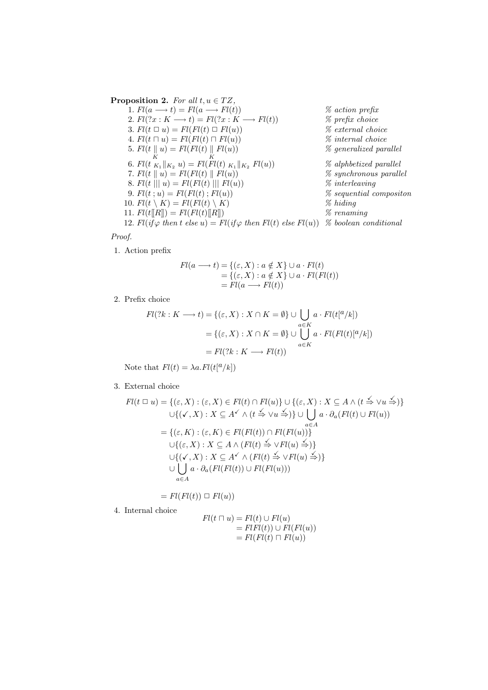**Proposition 2.** For all  $t, u \in TZ$ , 1.  $Fl(a \rightarrow t) = Fl(a \rightarrow Fl(t))$  % action prefix 2.  $Fl(?x : K \longrightarrow t) = Fl(?x : K \longrightarrow Fl(t))$  % prefix choice 3.  $Fl(t \sqcup u) = Fl(Fl(t) \sqcup Fl(u))$  % external choice 4.  $Fl(t \sqcap u) = Fl(Fl(t) \sqcap Fl(u))$  % internal choice 5.  $Fl(t \parallel$ K  $u) = Fl(Fl(t) \parallel$ 6.  $Fl(t \, K_{K_1} \|_{K_2} \, u) = Fl(Fl(t) \, K_1)$  $%$  generalized parallel  $%$  alphbetized parallel 7.  $Fl(t || u) = Fl(Fl(t) || Fl(u))$  % synchronous parallel 8.  $Fl(t \mid \mid \mid u) = Fl(Fl(t) \mid \mid \mid Fl(u))$  % interleaving 9.  $Fl(t; u) = Fl(Fl(t); Fl(u))$  % sequential compositon 10.  $Fl(t \setminus K) = Fl(Fl(t) \setminus K)$  % hiding 11.  $Fl(t[[R]]) = Fl(Fl(t)][R]])$  % renaming 12. Fl(if  $\varphi$  then t else u) = Fl(if  $\varphi$  then Fl(t) else Fl(u)) % boolean conditional

Proof.

1. Action prefix

$$
Fl(a \longrightarrow t) = \{ (\varepsilon, X) : a \notin X \} \cup a \cdot Fl(t)
$$
  
= \{ (\varepsilon, X) : a \notin X \} \cup a \cdot Fl(Fl(t))  
= Fl(a \longrightarrow Fl(t))

2. Prefix choice

$$
Fl(?k: K \longrightarrow t) = \{ (\varepsilon, X) : X \cap K = \emptyset \} \cup \bigcup_{a \in K} a \cdot Fl(t[^{a}/k])
$$

$$
= \{ (\varepsilon, X) : X \cap K = \emptyset \} \cup \bigcup_{a \in K} a \cdot Fl(Fl(t)[^{a}/k])
$$

$$
= Fl(?k: K \longrightarrow Fl(t))
$$

Note that  $Fl(t) = \lambda a. Fl(t^a/k)$ 

#### 3. External choice

4. Internal choice

$$
Fl(t \sqcup u) = \{ (\varepsilon, X) : (\varepsilon, X) \in Fl(t) \cap Fl(u) \} \cup \{ (\varepsilon, X) : X \subseteq A \land (t \xrightarrow{\checkmark} \lor u \xrightarrow{\checkmark}) \}
$$
  

$$
\cup \{ (\checkmark, X) : X \subseteq A \land (\checkmark, \checkmark) \lor (\checkmark, \checkmark) \lor \checkmark) \} \cup \bigcup_{a \in A} a \cdot \partial_a (Fl(t) \cup Fl(u))
$$
  

$$
= \{ (\varepsilon, K) : (\varepsilon, K) \in Fl(Fl(t)) \cap Fl(Fl(u)) \}
$$
  

$$
\cup \{ (\varepsilon, X) : X \subseteq A \land (Fl(t) \xrightarrow{\checkmark} \lor Fl(u) \xrightarrow{\checkmark}) \}
$$
  

$$
\cup \{ (\checkmark, X) : X \subseteq A \land (Fl(t) \xrightarrow{\checkmark} \lor Fl(u) \xrightarrow{\checkmark}) \}
$$
  

$$
\cup \bigcup_{a \in A} a \cdot \partial_a (Fl(Fl(t)) \cup Fl(Fl(u)))
$$

 $= Fl(Fl(t)) \square Fl(u)$ 

$$
Fl(t \sqcap u) = Fl(t) \cup Fl(u)
$$
  
= FlFl(t)) \cup Fl(Fl(u))  
= Fl(Fl(t) \sqcap Fl(u))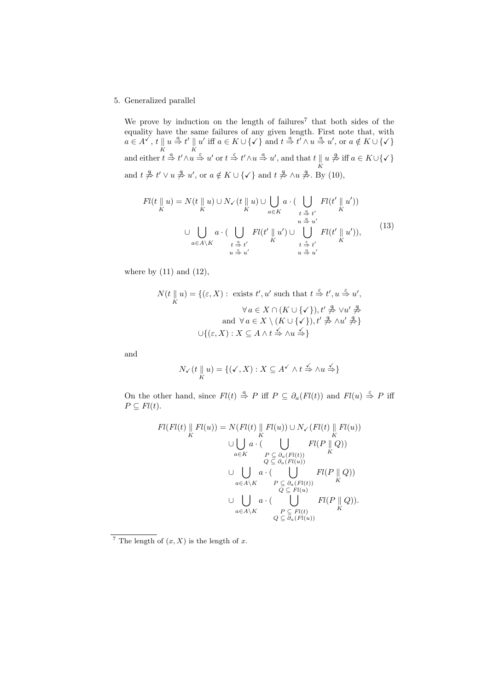#### 5. Generalized parallel

We prove by induction on the length of failures<sup>7</sup> that both sides of the equality have the same failures of any given length. First note that, with  $a \in A^{\checkmark}, t$ K  $u \stackrel{a}{\Rightarrow} t' \parallel$ K u' iff  $a \in K \cup \{\checkmark\}$  and  $t \stackrel{a}{\Rightarrow} t' \wedge u \stackrel{a}{\Rightarrow} u'$ , or  $a \notin K \cup \{\checkmark\}$ and either  $t \stackrel{a}{\Rightarrow} t' \wedge u \stackrel{\varepsilon}{\Rightarrow} u'$  or  $t \stackrel{\varepsilon}{\Rightarrow} t' \wedge u \stackrel{a}{\Rightarrow} u'$ , and that  $t \parallel$ K  $u \overset{a}{\neq} \text{iff } a \in K \cup \{\checkmark\}$ and  $t \stackrel{a}{\neq} t' \vee u \stackrel{a}{\neq} u'$ , or  $a \notin K \cup \{\checkmark\}$  and  $t \stackrel{a}{\neq} \wedge u \stackrel{a}{\neq}$ . By (10),

$$
Fl(t \parallel u) = N(t \parallel u) \cup N_{\checkmark}(t \parallel u) \cup \bigcup_{a \in K} a \cdot (\bigcup_{t \stackrel{\alpha}{\to} t'} Fl(t' \parallel u'))
$$
  

$$
\cup \bigcup_{a \in A \setminus K} a \cdot (\bigcup_{t \stackrel{\alpha}{\to} t'} Fl(t' \parallel u') \cup \bigcup_{t \stackrel{\alpha}{\to} t'} t' \setminus Fl(t' \parallel u')),
$$
  

$$
\cup \bigcup_{u \stackrel{\beta}{\to} t'} a \cdot (\bigcup_{t \stackrel{\alpha}{\to} t'} Fl(t' \parallel u') \cup \bigcup_{t \stackrel{\beta}{\to} t'} t' \setminus Fl(t' \parallel u')),
$$
  
(13)

where by  $(11)$  and  $(12)$ ,

$$
N(t || u) = \{ (\varepsilon, X) : \text{ exists } t', u' \text{ such that } t \stackrel{\varepsilon}{\Rightarrow} t', u \stackrel{\varepsilon}{\Rightarrow} u',
$$

$$
\forall a \in X \cap (K \cup \{\checkmark\}), t' \nrightarrow{\mathcal{A}} \lor u' \nrightarrow{\mathcal{A}}
$$

$$
\text{and } \forall a \in X \setminus (K \cup \{\checkmark\}), t' \nrightarrow{\mathcal{A}} \land u' \nrightarrow{\mathcal{A}} \}
$$

$$
\cup \{ (\varepsilon, X) : X \subseteq A \land t \stackrel{\checkmark}{\Rightarrow} \land u \stackrel{\checkmark}{\Rightarrow} \}
$$

and

$$
N_{\checkmark}(t\parallel u) = \{(\checkmark,X): X\subseteq A^{\checkmark} \land t \stackrel{\checkmark}{\Rightarrow} \land u \stackrel{\checkmark}{\Rightarrow}\}
$$

On the other hand, since  $Fl(t) \stackrel{a}{\Rightarrow} P$  iff  $P \subseteq \partial_a(Fl(t))$  and  $Fl(u) \stackrel{\epsilon}{\Rightarrow} P$  iff  $P \subseteq Fl(t)$ .

$$
Fl(Fl(t) \parallel Fl(u)) = N(Fl(t) \parallel Fl(u)) \cup N_{\checkmark}(Fl(t) \parallel Fl(u))
$$
  
\n
$$
\cup \bigcup_{a \in K} a \cdot (\bigcup_{P \subseteq \partial_a(Fl(t))} Fl(P \parallel Q))
$$
  
\n
$$
\cup \bigcup_{a \in A \setminus K} a \cdot (\bigcup_{P \subseteq \partial_a(Fl(u))} Fl(P \parallel Q))
$$
  
\n
$$
\cup \bigcup_{a \in A \setminus K} a \cdot (\bigcup_{P \subseteq \partial_a(Fl(t))} Fl(P \parallel Q))
$$
  
\n
$$
\cup \bigcup_{a \in A \setminus K} a \cdot (\bigcup_{P \subseteq Fl(t) \setminus K} Fl(P \parallel Q)).
$$

<sup>&</sup>lt;sup>7</sup> The length of  $(x, X)$  is the length of x.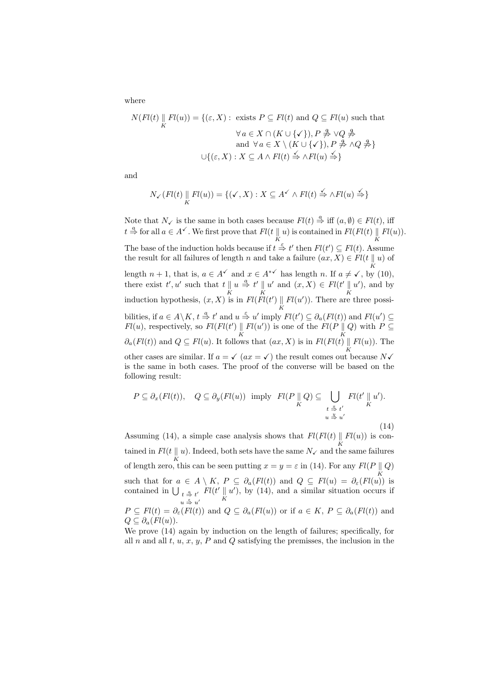where

$$
N(Fl(t) \parallel Fl(u)) = \{ (\varepsilon, X) : \text{ exists } P \subseteq Fl(t) \text{ and } Q \subseteq Fl(u) \text{ such that}
$$

$$
\forall a \in X \cap (K \cup \{\checkmark\}), P \nrightarrow{\#} \lor Q \nrightarrow{\#}
$$

$$
\text{and } \forall a \in X \setminus (K \cup \{\checkmark\}), P \nrightarrow{\#} \land Q \nrightarrow{\#}
$$

$$
\cup \{ (\varepsilon, X) : X \subseteq A \land Fl(t) \stackrel{\checkmark}{\Rightarrow} \land Fl(u) \stackrel{\checkmark}{\Rightarrow} \}
$$

and

$$
N_{\checkmark}(Fl(t) \parallel Fl(u)) = \{ (\checkmark, X) : X \subseteq A^{\checkmark} \land Fl(t) \stackrel{\checkmark}{\Rightarrow} \land Fl(u) \stackrel{\checkmark}{\Rightarrow} \}
$$

Note that  $N_{\checkmark}$  is the same in both cases because  $Fl(t) \stackrel{a}{\Rightarrow}$  iff  $(a, \emptyset) \in Fl(t)$ , iff  $t \stackrel{a}{\Rightarrow}$  for all  $a \in A^{\checkmark}$ . We first prove that  $Fl(t \parallel$ K u) is contained in  $Fl(Fl(t) \parallel$ K  $Fl(u)$ ). The base of the induction holds because if  $t \stackrel{\varepsilon}{\Rightarrow} t'$  then  $Fl(t') \subseteq Fl(t)$ . Assume the result for all failures of length n and take a failure  $(ax, X) \in Fl(t || u)$  of length  $n + 1$ , that is,  $a \in A^{\checkmark}$  and  $x \in A^{*\checkmark}$  has length n. If  $a \neq \checkmark$ , by (10), there exist  $t', u'$  such that  $t \parallel$ K  $u \stackrel{a}{\Rightarrow} t' \parallel$ K  $u'$  and  $(x, X) \in Fl(t' \parallel$ K  $u'$ ), and by induction hypothesis,  $(x, X)$  is in  $Fl(Fl(t') ||)$ K  $Fl(u')$ ). There are three possibilities, if  $a \in A \backslash K$ ,  $t \stackrel{a}{\Rightarrow} t'$  and  $u \stackrel{\epsilon}{\Rightarrow} u'$  imply  $Fl(t') \subseteq \partial_a(Fl(t))$  and  $Fl(u') \subseteq$  $Fl(u)$ , respectively, so  $Fl(Fl(t') \|$ K  $Fl(u')$  is one of the  $Fl(P \parallel$ K Q) with  $P \subseteq$  $\partial_a(Fl(t))$  and  $Q \subseteq Fl(u)$ . It follows that  $(ax, X)$  is in  $Fl(Fl(t))$ <sup>K</sup>  $Fl(u)$ ). The other cases are similar. If  $a = \sqrt{ax} = \sqrt{ax}$  the result comes out because N $\sqrt{ax}$ is the same in both cases. The proof of the converse will be based on the following result:  $\overline{\phantom{a}}$ 

$$
P \subseteq \partial_x(Fl(t)), \quad Q \subseteq \partial_y(Fl(u)) \text{ imply } Fl(P \parallel Q) \subseteq \bigcup_{\substack{t \stackrel{\pi}{\to} t' \\ u \stackrel{\pi}{\to} u'}} Fl(t' \parallel u').
$$
\n(14)

Assuming (14), a simple case analysis shows that  $Fl(Fl(t) \parallel Fl(u))$  is contained in  $Fl(t || u)$ . Indeed, both sets have the same  $N_{\checkmark}$  and th  $\parallel u$  ). Indeed, both sets have the same  $N_\checkmark$  and the same failures  $K$ of length zero, this can be seen putting  $x = y = \varepsilon$  in (14). For any  $Fl(P \parallel Q)$ such that for  $a \in A \setminus K$ ,  $P \subseteq \partial_a(Fl(t))$  and  $Q \subseteq Fl(u) = \partial_{\varepsilon}(Fl(u))$  is contained in  $\bigcup_{t=0}^{\infty} t^t$   $Fl(t' \parallel u')$ , by (14), and a similar situation occurs if  $u \stackrel{\varepsilon}{\Rightarrow} u'$ K  $u'$ ), by (14), and a similar situation occurs if

 $P \subseteq Fl(t) = \partial_{\varepsilon}(Fl(t))$  and  $Q \subseteq \partial_{a}(Fl(u))$  or if  $a \in K$ ,  $P \subseteq \partial_{a}(Fl(t))$  and  $Q \subseteq \partial_a (Fl(u))$ .

We prove (14) again by induction on the length of failures; specifically, for all n and all t,  $u, x, y, P$  and Q satisfying the premisses, the inclusion in the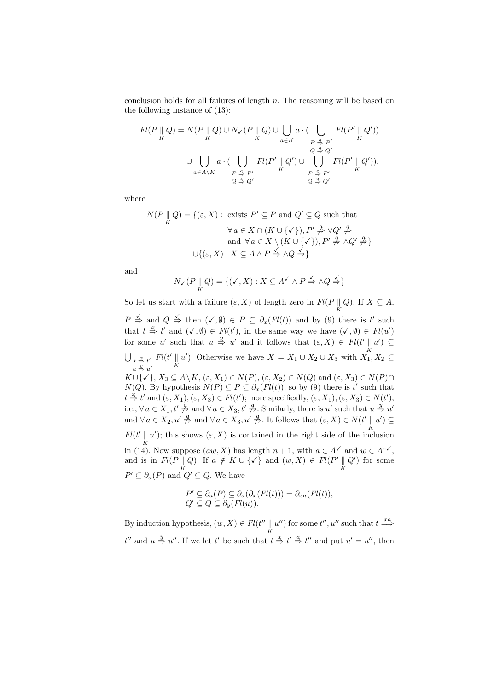conclusion holds for all failures of length n. The reasoning will be based on the following instance of (13):

$$
Fl(P \parallel Q) = N(P \parallel Q) \cup N_V(P \parallel Q) \cup \bigcup_{a \in K} a \cdot (\bigcup_{\substack{P \triangleq P' \\ Q \triangleq Q' \\ Q \triangleq Q'}} Fl(P' \parallel Q'))
$$
  

$$
\cup \bigcup_{a \in A \setminus K} a \cdot (\bigcup_{\substack{P \triangleq P' \\ P \triangleq P' \\ Q \triangleq Q'}} Fl(P' \parallel Q') \cup \bigcup_{\substack{P \triangleq P' \\ P \triangleq P' \\ Q \triangleq Q'}} Fl(P' \parallel Q')).
$$

where

$$
N(P \parallel Q) = \{ (\varepsilon, X) : \text{ exists } P' \subseteq P \text{ and } Q' \subseteq Q \text{ such that}
$$

$$
\forall a \in X \cap (K \cup \{\checkmark\}), P' \nrightarrow \neg VQ' \nrightarrow \neg VQ' \Rightarrow \text{ and } \forall a \in X \setminus (K \cup \{\checkmark\}), P' \nrightarrow \neg NQ' \nrightarrow \neg VQ \Rightarrow \} \cup \{ (\varepsilon, X) : X \subseteq A \land P \nrightarrow \neg NQ \nrightarrow \neg VQ \nrightarrow \neg VQ \nrightarrow \neg VQ \nrightarrow \neg VQ \nrightarrow \neg VQ \nrightarrow \neg VQ \nrightarrow \neg VQ \nrightarrow \neg VQ \nrightarrow \neg VQ \nrightarrow \neg VQ \nrightarrow \neg VQ \nrightarrow \neg VQ \nrightarrow \neg VQ \nrightarrow \neg VQ \nrightarrow \neg VQ \nrightarrow \neg VQ \nrightarrow \neg VQ \nrightarrow \neg VQ \nrightarrow \neg VQ \nrightarrow \neg VQ \nrightarrow \neg VQ \nrightarrow \neg VQ \nrightarrow \neg VQ \nrightarrow \neg VQ \nrightarrow \neg VQ \nrightarrow \neg VQ \nrightarrow \neg VQ \nrightarrow \neg VQ \nrightarrow \neg VQ \nrightarrow \neg VQ \nrightarrow \neg VQ \nrightarrow \neg VQ \nrightarrow \neg VQ \nrightarrow \neg VQ \nrightarrow \neg VQ \nrightarrow \neg VQ \nrightarrow \neg VQ \nrightarrow \neg VQ \nrightarrow \neg VQ \nrightarrow \neg VQ \nrightarrow \neg VQ \nrightarrow \neg VQ \nrightarrow \neg VQ \nrightarrow \neg VQ \nrightarrow \neg VQ \nrightarrow \neg VQ \nrightarrow \neg VQ \nrightarrow \neg VQ \nrightarrow \neg VQ \nrightarrow \neg VQ \nrightarrow \neg VQ \nrightarrow \neg VQ \nrightarrow \neg VQ \nrightarrow \neg VQ \nrightarrow \neg VQ \nrightarrow \neg VQ \nrightarrow \neg VQ \nrightarrow \neg VQ \nrightarrow \neg VQ \nrightarrow \neg VQ \nrightarrow \neg VQ \nrightarrow \neg VQ \nrightarrow \neg VQ \nrightarrow \neg VQ \nrightarrow \neg VQ \nrightarrow \neg VQ \nrightarrow \neg VQ \nrightarrow \neg VQ \nrightarrow \neg VQ \nrightarrow \neg VQ \nrightarrow \neg VQ \nrightarrow \neg VQ \nrightarrow \neg VQ \nrightarrow \neg VQ \nrightarrow \neg VQ \nrightarrow \neg VQ \nrightarrow \neg VQ \nrightarrow \neg VQ \nrightarrow \neg VQ \nrightarrow \neg VQ \nrightarrow \neg VQ \nrightarrow \neg VQ \nrightarrow \neg VQ \nrightarrow \neg VQ \nrightarrow \neg VQ \nrightarrow \neg V
$$

and

$$
N_{\checkmark}(P \parallel Q) = \{ (\checkmark, X) : X \subseteq A^{\checkmark} \land P \stackrel{\checkmark}{\Rightarrow} \land Q \stackrel{\checkmark}{\Rightarrow} \}
$$

So let us start with a failure  $(\varepsilon, X)$  of length zero in  $Fl(P \parallel$ K Q). If  $X \subseteq A$ ,  $P \stackrel{\checkmark}{\Rightarrow}$  and  $Q \stackrel{\checkmark}{\Rightarrow}$  then  $(\checkmark, \emptyset) \in P \subseteq \partial_x(Fl(t))$  and by (9) there is t' such that  $t \stackrel{x}{\Rightarrow} t'$  and  $(\checkmark, \emptyset) \in Fl(t')$ , in the same way we have  $(\checkmark, \emptyset) \in Fl(u')$ for some u' such that  $u \stackrel{y}{\Rightarrow} u'$  and it follows that  $(\varepsilon, X) \in Fl(t' \parallel u') \subseteq$ K<br>II FIULD OU I I I IVENTALE ULIT  $t \stackrel{x}{\Rightarrow} t'$   $Fl(t' \parallel)$  $u \stackrel{y}{\Rightarrow} u'$ K u'). Otherwise we have  $X = X_1 \cup X_2 \cup X_3$  with  $X_1, X_2 \subseteq$  $K \cup \{\checkmark\}, X_3 \subseteq A \setminus K, (\varepsilon, X_1) \in N(P), (\varepsilon, X_2) \in N(Q) \text{ and } (\varepsilon, X_3) \in N(P) \cap$  $N(Q)$ . By hypothesis  $N(P) \subseteq P \subseteq \partial_x(Fl(t))$ , so by (9) there is t' such that  $t \stackrel{\mathcal{X}}{\Rightarrow} t'$  and  $(\varepsilon, X_1), (\varepsilon, X_3) \in Fl(t')$ ; more specifically,  $(\varepsilon, X_1), (\varepsilon, X_3) \in N(t')$ , i.e.,  $\forall a \in X_1, t' \stackrel{a}{\not\Rightarrow} \text{and } \forall a \in X_3, t' \stackrel{a}{\not\Rightarrow}$ . Similarly, there is u' such that  $u \stackrel{y}{\Rightarrow} u'$ and  $\forall a \in X_2, u' \not\Rightarrow$  and  $\forall a \in X_3, u' \not\Rightarrow$ . It follows that  $(\varepsilon, X) \in N(t' \parallel$ K  $u'$ )  $\subseteq$  $Fl(t' \parallel u')$ ; this shows  $(\varepsilon, X)$  is contained in the right side of the inclusion in (14). Now suppose  $(aw, X)$  has length  $n + 1$ , with  $a \in A^{\checkmark}$  and  $w \in A^{*\checkmark}$ , and is in  $Fl(P \parallel$ K Q). If  $a \notin K \cup \{\checkmark\}$  and  $(w, X) \in Fl(P' \parallel$ K  $Q'$  for some  $P' \subseteq \partial_a(P)$  and  $Q' \subseteq Q$ . We have

$$
P' \subseteq \partial_a(P) \subseteq \partial_a(\partial_x(Fl(t))) = \partial_{xa}(Fl(t)),
$$
  
 
$$
Q' \subseteq Q \subseteq \partial_y(Fl(u)).
$$

By induction hypothesis,  $(w, X) \in Fl(t'')$ K  $u''$  for some  $t''$ ,  $u''$  such that  $t \stackrel{xa}{\Longrightarrow}$  $t''$  and  $u \stackrel{y}{\Rightarrow} u''$ . If we let  $t'$  be such that  $t \stackrel{x}{\Rightarrow} t' \stackrel{a}{\Rightarrow} t''$  and put  $u' = u''$ , then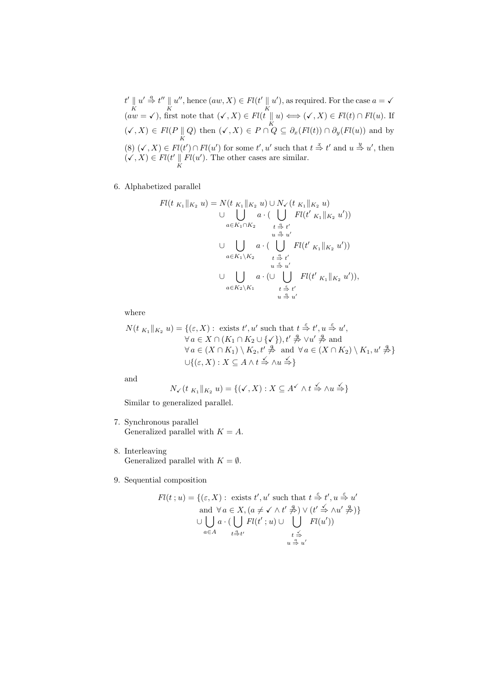$t'$  || K  $u' \stackrel{a}{\Rightarrow} t''$ K  $u''$ , hence  $(aw, X) \in Fl(t' \parallel$ K  $u'$ , as required. For the case  $a = \sqrt{a}$  $(aw = \checkmark),$  first note that  $(\checkmark, X) \in Fl(t)$ K  $u) \Longleftrightarrow (\checkmark, X) \in Fl(t) \cap Fl(u)$ . If  $(\checkmark, X) \in Fl(P)$  $\parallel Q$ ) then  $(\checkmark, X) \in P \cap Q \subseteq \partial_x(Fl(t)) \cap \partial_y(Fl(u))$  and by (8)  $(\checkmark, X) \in Fl(t') \cap Fl(u')$  for some  $t', u'$  such that  $t \stackrel{x}{\Rightarrow} t'$  and  $u \stackrel{y}{\Rightarrow} u'$ , then  $(\checkmark, X) \in Fl(t' \parallel$ K  $Fl(u')$ . The other cases are similar.

6. Alphabetized parallel

$$
Fl(t_{K_1}||_{K_2} u) = N(t_{K_1}||_{K_2} u) \cup N_V(t_{K_1}||_{K_2} u)
$$
  
\n
$$
\cup \bigcup_{a \in K_1 \cap K_2} a \cdot (\bigcup_{t \stackrel{\alpha}{\to} t'} Fl(t'_{K_1}||_{K_2} u'))
$$
  
\n
$$
\cup \bigcup_{a \in K_1 \setminus K_2} a \cdot (\bigcup_{t \stackrel{\alpha}{\to} t'} Fl(t'_{K_1}||_{K_2} u'))
$$
  
\n
$$
\cup \bigcup_{a \in K_1 \setminus K_2} a \cdot (\bigcup_{u \stackrel{\beta}{\to} t'} Fl(t'_{K_1}||_{K_2} u')),
$$
  
\n
$$
\cup \bigcup_{a \in K_2 \setminus K_1} a \cdot (\bigcup_{t \stackrel{\beta}{\to} t'} Fl(t'_{K_1}||_{K_2} u')),
$$

where

$$
N(t_{K_1}||_{K_2} u) = \{(\varepsilon, X) : \text{ exists } t', u' \text{ such that } t \stackrel{\varepsilon}{\Rightarrow} t', u \stackrel{\varepsilon}{\Rightarrow} u',
$$
  
\n
$$
\forall a \in X \cap (K_1 \cap K_2 \cup \{\checkmark\}), t' \nrightarrow{\mathcal{A}} \forall u' \nrightarrow{\mathcal{A}} \text{ and }
$$
  
\n
$$
\forall a \in (X \cap K_1) \setminus K_2, t' \nrightarrow{\mathcal{A}} \text{ and } \forall a \in (X \cap K_2) \setminus K_1, u' \nrightarrow{\mathcal{A}} \}
$$
  
\n
$$
\cup \{(\varepsilon, X) : X \subseteq A \land t \stackrel{\iota}{\Rightarrow} \land u \stackrel{\iota}{\Rightarrow} \}
$$

and

$$
N_{\checkmark}(t_{K_1}\|_{K_2} u) = \{(\checkmark, X) : X \subseteq A^{\checkmark} \land t \stackrel{\checkmark}{\Rightarrow} \land u \stackrel{\checkmark}{\Rightarrow}\}
$$

Similar to generalized parallel.

- 7. Synchronous parallel Generalized parallel with  $K = A$ .
- 8. Interleaving Generalized parallel with  $K = \emptyset$ .
- 9. Sequential composition

$$
Fl(t; u) = \{ (\varepsilon, X) : \text{ exists } t', u' \text{ such that } t \stackrel{\varepsilon}{\Rightarrow} t', u \stackrel{\varepsilon}{\Rightarrow} u' \text{ and } \forall a \in X, (a \neq \checkmark \land t' \stackrel{\varepsilon}{\Rightarrow}) \lor (t' \stackrel{\checkmark}{\Rightarrow} \land u' \stackrel{\varepsilon}{\Rightarrow}) \} \cup \bigcup_{a \in A} a \cdot (\bigcup_{t \stackrel{\alpha}{\Rightarrow} t'} Fl(t'; u) \cup \bigcup_{t \stackrel{\checkmark}{\Rightarrow}} Fl(u')) \quad \downarrow \stackrel{\varepsilon}{\Rightarrow} u'
$$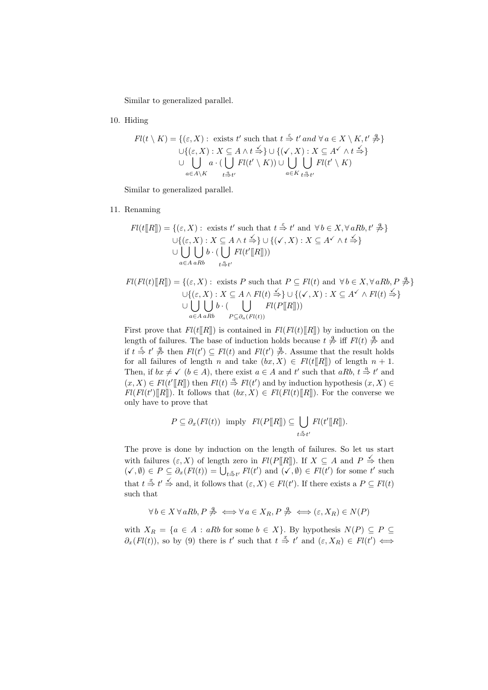Similar to generalized parallel.

10. Hiding

$$
Fl(t \setminus K) = \{ (\varepsilon, X) : \text{ exists } t' \text{ such that } t \stackrel{\varepsilon}{\Rightarrow} t' \text{ and } \forall a \in X \setminus K, t' \stackrel{a}{\Rightarrow} \}
$$

$$
\cup \{ (\varepsilon, X) : X \subseteq A \land t \stackrel{\prec}{\Rightarrow} \} \cup \{ (\checkmark, X) : X \subseteq A' \land t \stackrel{\prec}{\Rightarrow} \}
$$

$$
\cup \bigcup_{a \in A \setminus K} a \cdot (\bigcup_{t \stackrel{\alpha}{\Rightarrow} t'} Fl(t' \setminus K)) \cup \bigcup_{a \in K} \bigcup_{t \stackrel{\alpha}{\Rightarrow} t'} Fl(t' \setminus K)
$$

Similar to generalized parallel.

11. Renaming

$$
Fl(t[[R]]) = \{ (\varepsilon, X) : \text{ exists } t' \text{ such that } t \stackrel{\varepsilon}{\Rightarrow} t' \text{ and } \forall b \in X, \forall aRb, t' \not\Rightarrow \} \cup \{ (\varepsilon, X) : X \subseteq A \land t \not\Rightarrow \} \cup \{ (\checkmark, X) : X \subseteq A^{\checkmark} \land t \not\Rightarrow \} \cup \bigcup_{a \in A} b \cdot (\bigcup_{t \stackrel{\alpha}{\Rightarrow} t'} Fl(t'[[R]])
$$

$$
Fl(Fl(t)[R]]) = \{ (\varepsilon, X) : \text{ exists } P \text{ such that } P \subseteq Fl(t) \text{ and } \forall b \in X, \forall a R b, P \nrightarrow{\mathcal{A}} \} \cup \{ (\varepsilon, X) : X \subseteq A \land Fl(t) \nrightarrow{\preceq} \} \cup \{ (\checkmark, X) : X \subseteq A^{\checkmark} \land Fl(t) \nrightarrow{\preceq} \} \cup \bigcup_{a \in A \land R b} b \cdot (\bigcup_{P \subseteq \partial_a(Fl(t))} Fl(P[[R]]) \big)
$$

First prove that  $Fl(t[[R]])$  is contained in  $Fl(Fl(t)[R]])$  by induction on the length of failures. The base of induction holds because  $t \stackrel{\alpha}{\neq}$  iff  $Fl(t) \stackrel{\alpha}{\neq}$  and if  $t \stackrel{\varepsilon}{\Rightarrow} t' \stackrel{q}{\neq}$  then  $Fl(t') \subseteq Fl(t)$  and  $Fl(t') \stackrel{q}{\neq}$ . Assume that the result holds for all failures of length n and take  $(bx, X) \in Fl(t[[R]])$  of length  $n + 1$ . Then, if  $bx \neq b$  ( $b \in A$ ), there exist  $a \in A$  and t' such that  $aRb$ ,  $t \stackrel{a}{\Rightarrow} t'$  and  $(x, X) \in Fl(t'[[R]])$  then  $Fl(t) \stackrel{a}{\Rightarrow} Fl(t')$  and by induction hypothesis  $(x, X) \in Fl(t'[[R]])$  $Fl(Fl(t')[[R]])$ . It follows that  $(bx, X) \in Fl(Fl(t)[R]])$ . For the converse we only have to prove that

$$
P \subseteq \partial_x(Fl(t)) \text{ imply } Fl(P[\![R]\!]) \subseteq \bigcup_{t \stackrel{\alpha}{\Rightarrow} t'} Fl(t'[\![R]\!]).
$$

The prove is done by induction on the length of failures. So let us start with failures  $(\varepsilon, X)$  of length zero in  $Fl(P[[R]])$ . If  $X \subseteq A$  and  $P \stackrel{\checkmark}{\Rightarrow}$  then  $(\checkmark, \emptyset) \in P \subseteq \partial_x(Fl(t)) = \bigcup_{t \stackrel{\checkmark}{\Rightarrow} t'} Fl(t')$  and  $(\checkmark, \emptyset) \in Fl(t')$  for some t' such that  $t \stackrel{x}{\Rightarrow} t' \stackrel{\checkmark}{\Rightarrow}$  and, it follows that  $(\varepsilon, X) \in Fl(t')$ . If there exists a  $P \subseteq Fl(t)$ such that

$$
\forall b \in X \,\forall aRb, P \stackrel{a}{\neq} \iff \forall a \in X_R, P \stackrel{a}{\neq} \iff (\varepsilon, X_R) \in N(P)
$$

with  $X_R = \{a \in A : aRb$  for some  $b \in X\}$ . By hypothesis  $N(P) \subseteq P \subseteq$  $\partial_x(Fl(t))$ , so by (9) there is t' such that  $t \stackrel{x}{\Rightarrow} t'$  and  $(\varepsilon, X_R) \in Fl(t') \iff$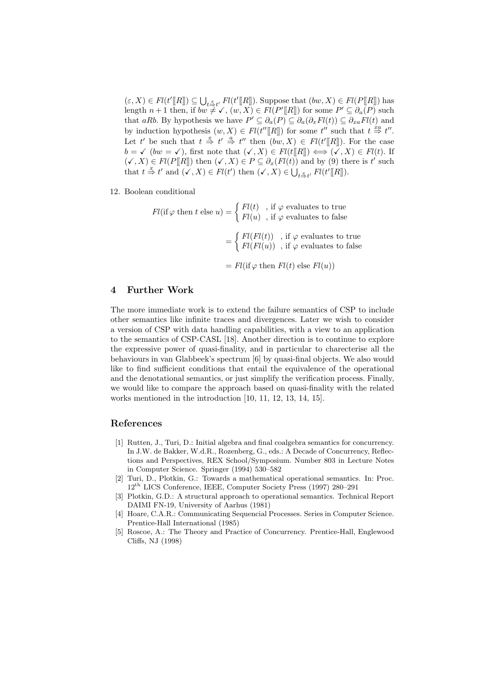$(\varepsilon, X) \in Fl(t'[[R]]) \subseteq \bigcup$  $_{t \stackrel{\mathcal{Z}}{\Rightarrow} t'}$   $Fl(t'[R])$ . Suppose that  $(bw, X) \in Fl(P[\![R]\!])$  has length  $n+1$  then, if  $bw \neq \checkmark$ ,  $(w, X) \in Fl(P'[R])$  for some  $P' \subseteq \partial_a(P)$  such that aRb. By hypothesis we have  $P' \subseteq \partial_a(P) \subseteq \partial_a(\partial_xFl(t)) \subseteq \partial_{xa}Fl(t)$  and by induction hypothesis  $(w, X) \in Fl(t''[[R]])$  for some t'' such that  $t \stackrel{xa}{\Rightarrow} t''$ . Let t' be such that  $t \stackrel{x}{\Rightarrow} t' \stackrel{a}{\Rightarrow} t''$  then  $(bw, X) \in Fl(t'[[R]])$ . For the case  $b = \checkmark$  (bw =  $\checkmark$ ), first note that  $(\checkmark, X) \in \check{Fl}(t[[R]]) \iff (\checkmark, X) \in \check{Fl}(t)$ . If  $(\checkmark, X) \in Fl(P[[R]])$  then  $(\checkmark, X) \in P \subseteq \partial_x(Fl(t))$  and by (9) there is t' such that  $t \stackrel{x}{\Rightarrow} t'$  and  $(\checkmark, X) \in Fl(t')$  then  $(\checkmark, X) \in \bigcup_{t \stackrel{x}{\Rightarrow} t'} Fl(t'[[R]])$ .

12. Boolean conditional

$$
Fl(\text{if } \varphi \text{ then } t \text{ else } u) = \begin{cases} Fl(t) & \text{, if } \varphi \text{ evaluates to true} \\ Fl(u) & \text{, if } \varphi \text{ evaluates to false} \end{cases}
$$
\n
$$
= \begin{cases} Fl(Fl(t)) & \text{, if } \varphi \text{ evaluates to true} \\ Fl(Fl(u)) & \text{, if } \varphi \text{ evaluates to false} \end{cases}
$$
\n
$$
= Fl(\text{if } \varphi \text{ then } Fl(t) \text{ else } Fl(u))
$$

### 4 Further Work

The more immediate work is to extend the failure semantics of CSP to include other semantics like infinite traces and divergences. Later we wish to consider a version of CSP with data handling capabilities, with a view to an application to the semantics of CSP-CASL [18]. Another direction is to continue to explore the expressive power of quasi-finality, and in particular to charecterise all the behaviours in van Glabbeek's spectrum [6] by quasi-final objects. We also would like to find sufficient conditions that entail the equivalence of the operational and the denotational semantics, or just simplify the verification process. Finally, we would like to compare the approach based on quasi-finality with the related works mentioned in the introduction [10, 11, 12, 13, 14, 15].

# References

- [1] Rutten, J., Turi, D.: Initial algebra and final coalgebra semantics for concurrency. In J.W. de Bakker, W.d.R., Rozenberg, G., eds.: A Decade of Concurrency, Reflections and Perspectives, REX School/Symposium. Number 803 in Lecture Notes in Computer Science. Springer (1994) 530–582
- [2] Turi, D., Plotkin, G.: Towards a mathematical operational semantics. In: Proc. 12th LICS Conference, IEEE, Computer Society Press (1997) 280–291
- [3] Plotkin, G.D.: A structural approach to operational semantics. Technical Report DAIMI FN-19, University of Aarhus (1981)
- [4] Hoare, C.A.R.: Communicating Sequencial Processes. Series in Computer Science. Prentice-Hall International (1985)
- [5] Roscoe, A.: The Theory and Practice of Concurrency. Prentice-Hall, Englewood Cliffs, NJ (1998)